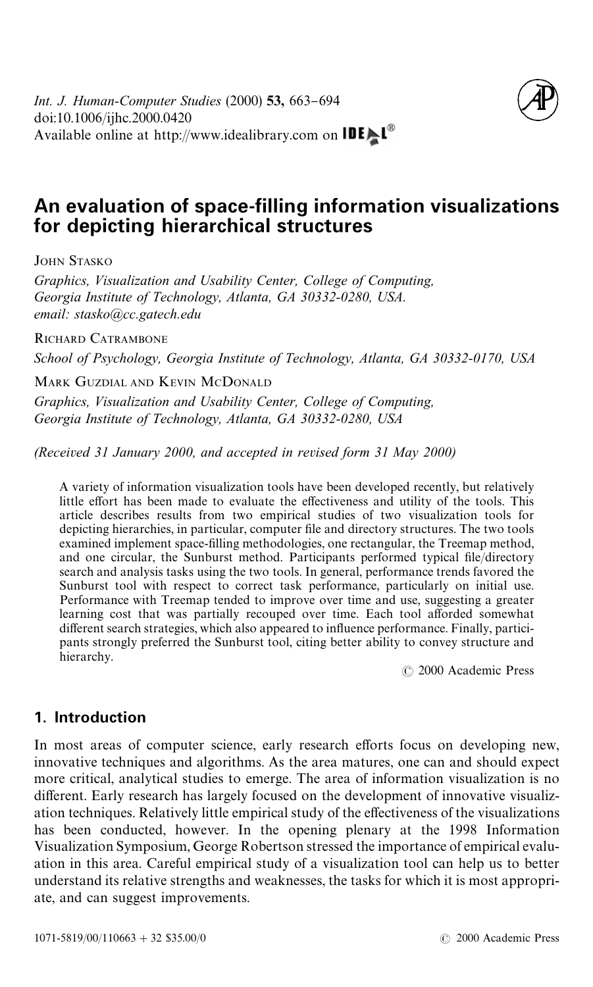

# **An evaluation of space-filling information visualizations for depicting hierarchical structures**

JOHN STASKO

*Graphics, Visualization and Usability Center, College of Computing, Georgia Institute of Technology, Atlanta, GA 30332-0280, USA. email: stasko*@*cc.gatech.edu*

RICHARD CATRAMBONE

*School of Psychology, Georgia Institute of Technology, Atlanta, GA 30332-0170, USA*

MARK GUZDIAL AND KEVIN MCDONALD

*Graphics, Visualization and Usability Center, College of Computing, Georgia Institute of Technology, Atlanta, GA 30332-0280, USA*

*(Received 31 January 2000, and accepted in revised form 31 May 2000)*

A variety of information visualization tools have been developed recently, but relatively little effort has been made to evaluate the effectiveness and utility of the tools. This article describes results from two empirical studies of two visualization tools for depicting hierarchies, in particular, computer file and directory structures. The two tools examined implement space-filling methodologies, one rectangular, the Treemap method, and one circular, the Sunburst method. Participants performed typical file/directory search and analysis tasks using the two tools. In general, performance trends favored the Sunburst tool with respect to correct task performance, particularly on initial use. Performance with Treemap tended to improve over time and use, suggesting a greater learning cost that was partially recouped over time. Each tool afforded somewhat different search strategies, which also appeared to influence performance. Finally, participants strongly preferred the Sunburst tool, citing better ability to convey structure and hierarchy.

( 2000 Academic Press

## **1. Introduction**

In most areas of computer science, early research efforts focus on developing new, innovative techniques and algorithms. As the area matures, one can and should expect more critical, analytical studies to emerge. The area of information visualization is no different. Early research has largely focused on the development of innovative visualization techniques. Relatively little empirical study of the effectiveness of the visualizations has been conducted, however. In the opening plenary at the 1998 Information Visualization Symposium, George Robertson stressed the importance of empirical evaluation in this area. Careful empirical study of a visualization tool can help us to better understand its relative strengths and weaknesses, the tasks for which it is most appropriate, and can suggest improvements.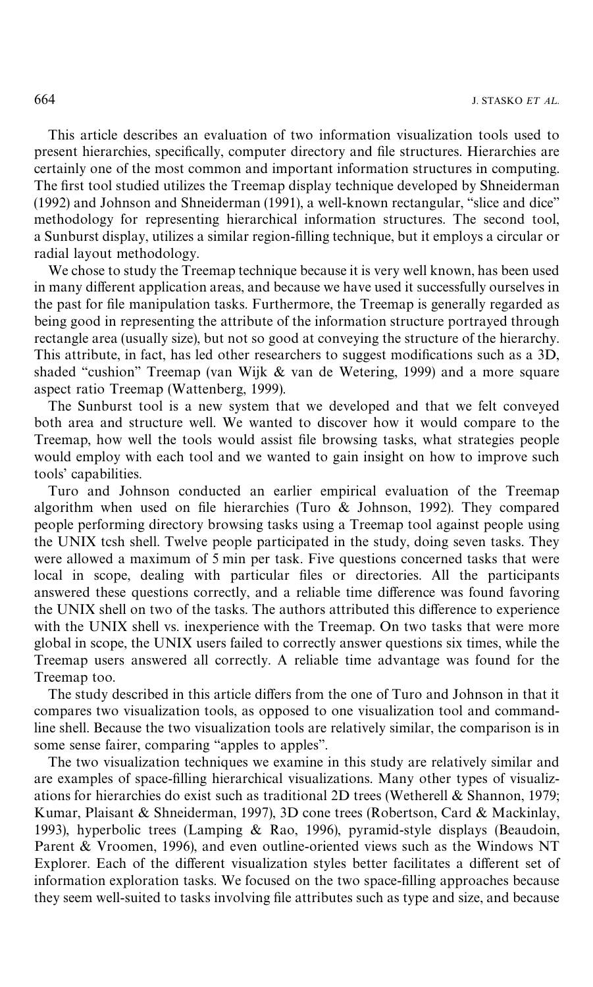This article describes an evaluation of two information visualization tools used to present hierarchies, specifically, computer directory and file structures. Hierarchies are certainly one of the most common and important information structures in computing. The first tool studied utilizes the Treemap display technique developed by [Shneiderman](#page-27-0)  $(1992)$  and Johnson and Shneiderman  $(1991)$ , a well-known rectangular, "slice and dice" methodology for representing hierarchical information structures. The second tool, a Sunburst display, utilizes a similar region-filling technique, but it employs a circular or radial layout methodology.

We chose to study the Treemap technique because it is very well known, has been used in many different application areas, and because we have used it successfully ourselves in the past for file manipulation tasks. Furthermore, the Treemap is generally regarded as being good in representing the attribute of the information structure portrayed through rectangle area (usually size), but not so good at conveying the structure of the hierarchy. This attribute, in fact, has led other researchers to suggest modifications such as a 3D, shaded "cushion" Treemap (van Wijk  $&$  van de Wetering, 1999) and a more square aspect ratio Treemap [\(Wattenberg, 1999\)](#page-27-0).

The Sunburst tool is a new system that we developed and that we felt conveyed both area and structure well. We wanted to discover how it would compare to the Treemap, how well the tools would assist file browsing tasks, what strategies people would employ with each tool and we wanted to gain insight on how to improve such tools' capabilities.

Turo and Johnson conducted an earlier empirical evaluation of the Treemap algorithm when used on file hierarchies (Turo  $&$  Johnson, 1992). They compared people performing directory browsing tasks using a Treemap tool against people using the UNIX tcsh shell. Twelve people participated in the study, doing seven tasks. They were allowed a maximum of 5 min per task. Five questions concerned tasks that were local in scope, dealing with particular files or directories. All the participants answered these questions correctly, and a reliable time difference was found favoring the UNIX shell on two of the tasks. The authors attributed this difference to experience with the UNIX shell vs. inexperience with the Treemap. On two tasks that were more global in scope, the UNIX users failed to correctly answer questions six times, while the Treemap users answered all correctly. A reliable time advantage was found for the Treemap too.

The study described in this article differs from the one of Turo and Johnson in that it compares two visualization tools, as opposed to one visualization tool and commandline shell. Because the two visualization tools are relatively similar, the comparison is in some sense fairer, comparing "apples to apples".

The two visualization techniques we examine in this study are relatively similar and are examples of space-filling hierarchical visualizations. Many other types of visualizations for hierarchies do exist such as traditional 2D trees [\(Wetherell & Shannon, 1979;](#page-27-0) [Kumar, Plaisant & Shneiderman, 1997\)](#page-27-0), 3D cone trees [\(Robertson, Card & Mackinlay,](#page-27-0) [1993\),](#page-27-0) hyperbolic trees [\(Lamping & Rao, 1996\)](#page-27-0), pyramid-style displays [\(Beaudoin,](#page-27-0) [Parent & Vroomen, 1996\)](#page-27-0), and even outline-oriented views such as the Windows NT Explorer. Each of the different visualization styles better facilitates a different set of information exploration tasks. We focused on the two space-filling approaches because they seem well-suited to tasks involving file attributes such as type and size, and because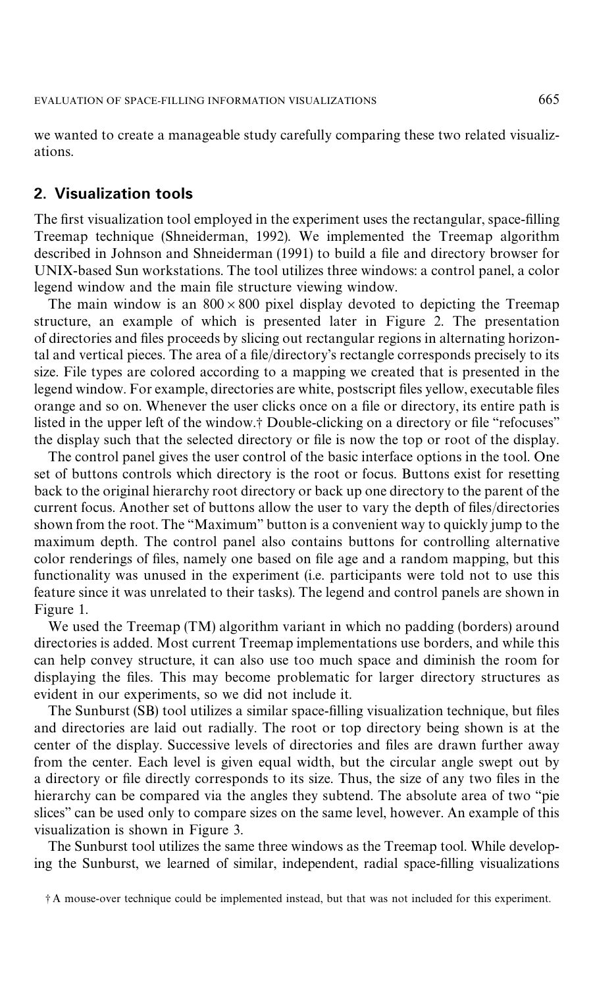<span id="page-2-0"></span>we wanted to create a manageable study carefully comparing these two related visualizations.

## **2. Visualization tools**

The first visualization tool employed in the experiment uses the rectangular, space-filling Treemap technique [\(Shneiderman, 1992\)](#page-27-0). We implemented the Treemap algorithm described in [Johnson and Shneiderman \(1991\)](#page-27-0) to build a file and directory browser for UNIX-based Sun workstations. The tool utilizes three windows: a control panel, a color legend window and the main file structure viewing window.

The main window is an  $800 \times 800$  pixel display devoted to depicting the Treemap structure, an example of which is presented later in [Figure 2.](#page-4-0) The presentation of directories and files proceeds by slicing out rectangular regions in alternating horizontal and vertical pieces. The area of a file/directory's rectangle corresponds precisely to its size. File types are colored according to a mapping we created that is presented in the legend window. For example, directories are white, postscript files yellow, executable files orange and so on. Whenever the user clicks once on a file or directory, its entire path is listed in the upper left of the window.<sup>†</sup> Double-clicking on a directory or file "refocuses" the display such that the selected directory or file is now the top or root of the display.

The control panel gives the user control of the basic interface options in the tool. One set of buttons controls which directory is the root or focus. Buttons exist for resetting back to the original hierarchy root directory or back up one directory to the parent of the current focus. Another set of buttons allow the user to vary the depth of files/directories shown from the root. The "Maximum" button is a convenient way to quickly jump to the maximum depth. The control panel also contains buttons for controlling alternative color renderings of files, namely one based on file age and a random mapping, but this functionality was unused in the experiment (i.e. participants were told not to use this feature since it was unrelated to their tasks). The legend and control panels are shown in [Figure 1](#page-3-0).

We used the Treemap (TM) algorithm variant in which no padding (borders) around directories is added. Most current Treemap implementations use borders, and while this can help convey structure, it can also use too much space and diminish the room for displaying the files. This may become problematic for larger directory structures as evident in our experiments, so we did not include it.

The Sunburst (SB) tool utilizes a similar space-filling visualization technique, but files and directories are laid out radially. The root or top directory being shown is at the center of the display. Successive levels of directories and files are drawn further away from the center. Each level is given equal width, but the circular angle swept out by a directory or file directly corresponds to its size. Thus, the size of any two files in the hierarchy can be compared via the angles they subtend. The absolute area of two "pie slices'' can be used only to compare sizes on the same level, however. An example of this visualization is shown in [Figure 3.](#page-5-0)

The Sunburst tool utilizes the same three windows as the Treemap tool. While developing the Sunburst, we learned of similar, independent, radial space-filling visualizations

- A mouse-over technique could be implemented instead, but that was not included for this experiment.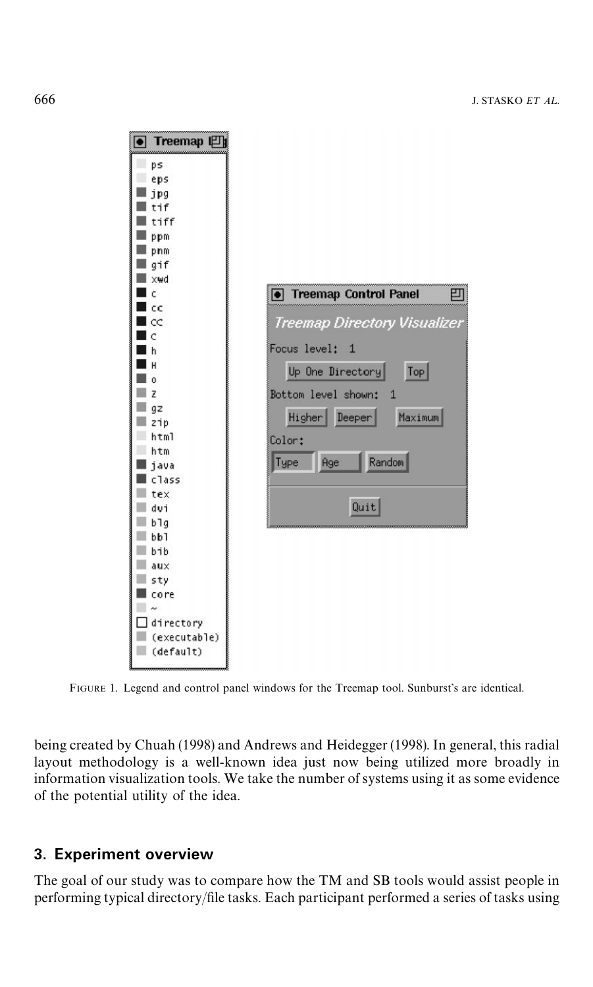<span id="page-3-0"></span>

FIGURE 1. Legend and control panel windows for the Treemap tool. Sunburst's are identical.

being created by [Chuah \(1998\)](#page-27-0) and [Andrews and Heidegger \(1998\)](#page-27-0). In general, this radial layout methodology is a well-known idea just now being utilized more broadly in information visualization tools. We take the number of systems using it as some evidence of the potential utility of the idea.

## **3. Experiment overview**

The goal of our study was to compare how the TM and SB tools would assist people in performing typical directory/file tasks. Each participant performed a series of tasks using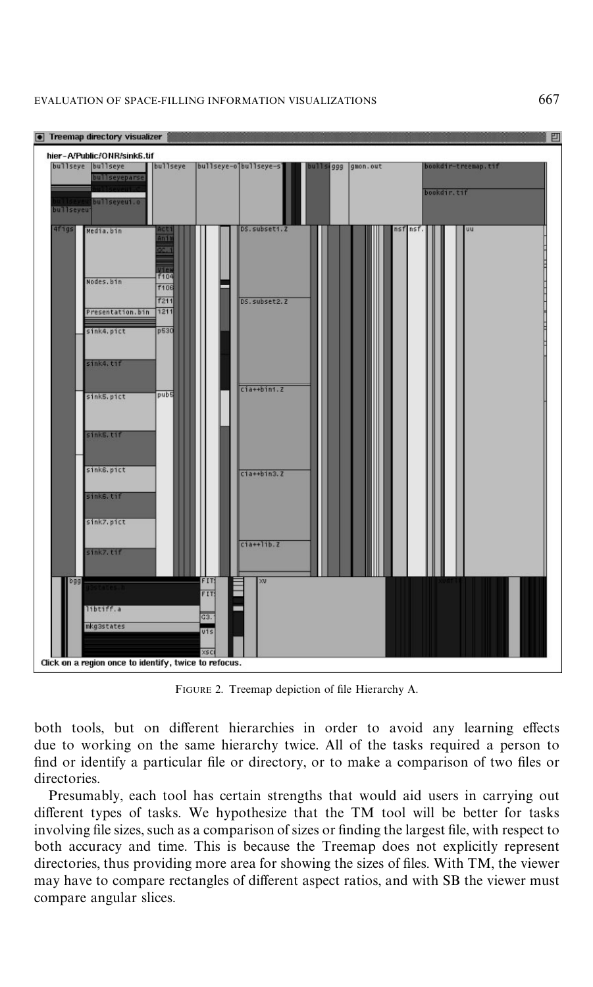<span id="page-4-0"></span>

FIGURE 2. Treemap depiction of file Hierarchy A.

both tools, but on different hierarchies in order to avoid any learning effects due to working on the same hierarchy twice. All of the tasks required a person to find or identify a particular file or directory, or to make a comparison of two files or directories.

Presumably, each tool has certain strengths that would aid users in carrying out different types of tasks. We hypothesize that the TM tool will be better for tasks involving file sizes, such as a comparison of sizes or finding the largest file, with respect to both accuracy and time. This is because the Treemap does not explicitly represent directories, thus providing more area for showing the sizes of files. With TM, the viewer may have to compare rectangles of different aspect ratios, and with SB the viewer must compare angular slices.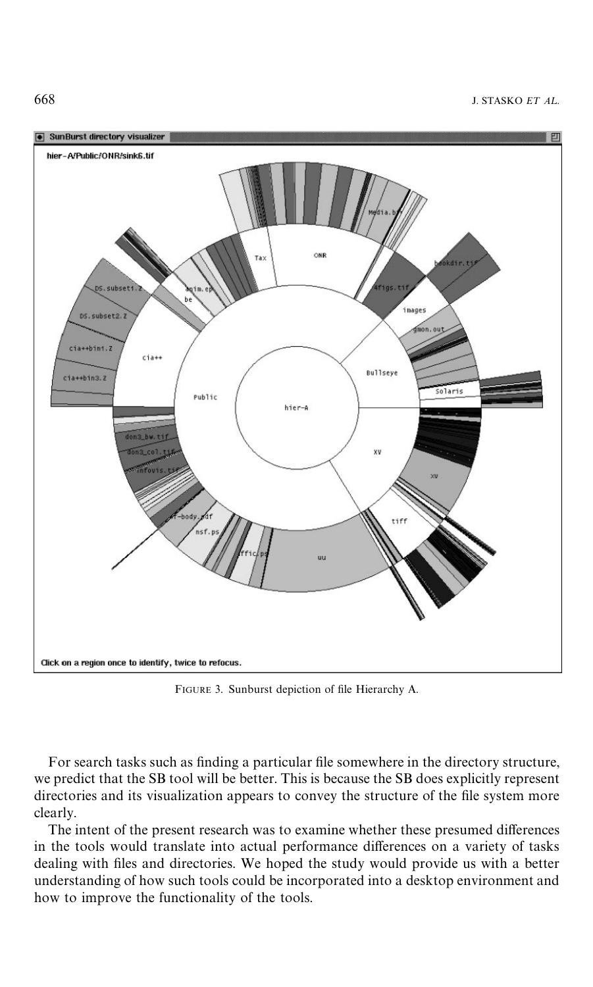<span id="page-5-0"></span>



FIGURE 3. Sunburst depiction of file Hierarchy A.

For search tasks such as finding a particular file somewhere in the directory structure, we predict that the SB tool will be better. This is because the SB does explicitly represent directories and its visualization appears to convey the structure of the file system more clearly.

The intent of the present research was to examine whether these presumed differences in the tools would translate into actual performance differences on a variety of tasks dealing with files and directories. We hoped the study would provide us with a better understanding of how such tools could be incorporated into a desktop environment and how to improve the functionality of the tools.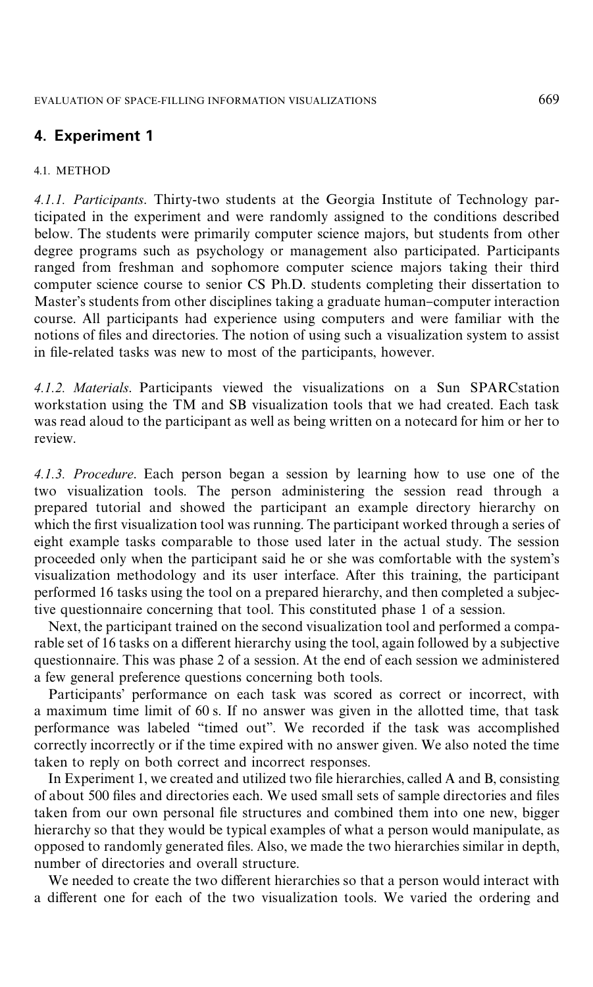## **4. Experiment 1**

#### 4.1. METHOD

*4.1.1. Participants*. Thirty-two students at the Georgia Institute of Technology participated in the experiment and were randomly assigned to the conditions described below. The students were primarily computer science majors, but students from other degree programs such as psychology or management also participated. Participants ranged from freshman and sophomore computer science majors taking their third computer science course to senior CS Ph.D. students completing their dissertation to Master's students from other disciplines taking a graduate human-computer interaction course. All participants had experience using computers and were familiar with the notions of files and directories. The notion of using such a visualization system to assist in file-related tasks was new to most of the participants, however.

*4.1.2. Materials*. Participants viewed the visualizations on a Sun SPARCstation workstation using the TM and SB visualization tools that we had created. Each task was read aloud to the participant as well as being written on a notecard for him or her to review.

*4.1.3. Procedure*. Each person began a session by learning how to use one of the two visualization tools. The person administering the session read through a prepared tutorial and showed the participant an example directory hierarchy on which the first visualization tool was running. The participant worked through a series of eight example tasks comparable to those used later in the actual study. The session proceeded only when the participant said he or she was comfortable with the system's visualization methodology and its user interface. After this training, the participant performed 16 tasks using the tool on a prepared hierarchy, and then completed a subjective questionnaire concerning that tool. This constituted phase 1 of a session.

Next, the participant trained on the second visualization tool and performed a comparable set of 16 tasks on a different hierarchy using the tool, again followed by a subjective questionnaire. This was phase 2 of a session. At the end of each session we administered a few general preference questions concerning both tools.

Participants' performance on each task was scored as correct or incorrect, with a maximum time limit of 60 s. If no answer was given in the allotted time, that task performance was labeled "timed out". We recorded if the task was accomplished correctly incorrectly or if the time expired with no answer given. We also noted the time taken to reply on both correct and incorrect responses.

In Experiment 1, we created and utilized two file hierarchies, called A and B, consisting of about 500 files and directories each. We used small sets of sample directories and files taken from our own personal file structures and combined them into one new, bigger hierarchy so that they would be typical examples of what a person would manipulate, as opposed to randomly generated "les. Also, we made the two hierarchies similar in depth, number of directories and overall structure.

We needed to create the two different hierarchies so that a person would interact with a different one for each of the two visualization tools. We varied the ordering and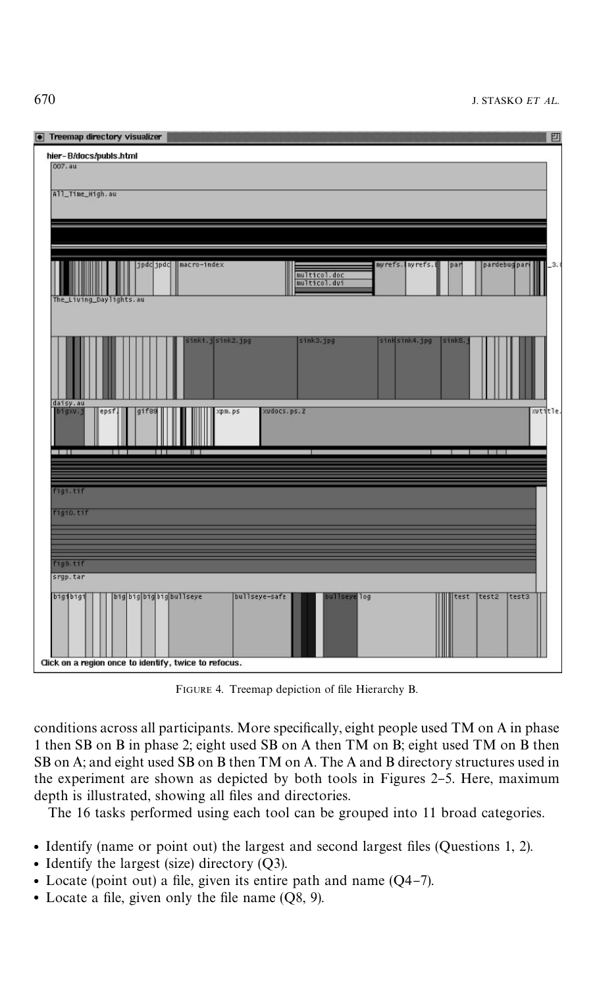| • Treemap directory visualizer<br>凹                                                                                                                      |
|----------------------------------------------------------------------------------------------------------------------------------------------------------|
| hier-B/docs/publs.html                                                                                                                                   |
| 007.au                                                                                                                                                   |
| All_Time_High.au                                                                                                                                         |
|                                                                                                                                                          |
| jpdc jpdc   macro-index<br>myrefs. nyrefs. N<br>pardebugpari<br>par<br>$_{.3.}$<br>multicol.doc<br>multicol.dvi<br>The_Living_Daylights.au               |
| sinki.jsink2.jpg<br>sink3.jpg<br>sinksink4.jpg<br>sinks.<br>daisy.au                                                                                     |
| xudocs.ps.Z<br>bigxv.j<br>xutitle.<br>gif <sub>89</sub><br>xpm.ps<br>epsf<br>21 B<br>H I                                                                 |
| . .<br>8 H                                                                                                                                               |
| fig1.tif                                                                                                                                                 |
| f1g10.t1f                                                                                                                                                |
|                                                                                                                                                          |
| fig9.tif<br>srgp.tar                                                                                                                                     |
| big big big big bullseye<br>bullseye-safe<br>bullseye log<br>test2<br>big1big1<br>test<br>test3<br>Click on a region once to identify, twice to refocus. |

FIGURE 4. Treemap depiction of file Hierarchy B.

conditions across all participants. More specifically, eight people used TM on A in phase 1 then SB on B in phase 2; eight used SB on A then TM on B; eight used TM on B then SB on A; and eight used SB on B then TM on A. The A and B directory structures used in the experiment are shown as depicted by both tools in [Figures 2](#page-4-0)-[5.](#page-8-0) Here, maximum depth is illustrated, showing all files and directories.

The 16 tasks performed using each tool can be grouped into 11 broad categories.

- Identify (name or point out) the largest and second largest files (Questions 1, 2).
- Identify the largest (size) directory  $(Q3)$ .
- Locate (point out) a file, given its entire path and name  $(Q4-7)$ .
- Locate a file, given only the file name  $(0.8, 9)$ .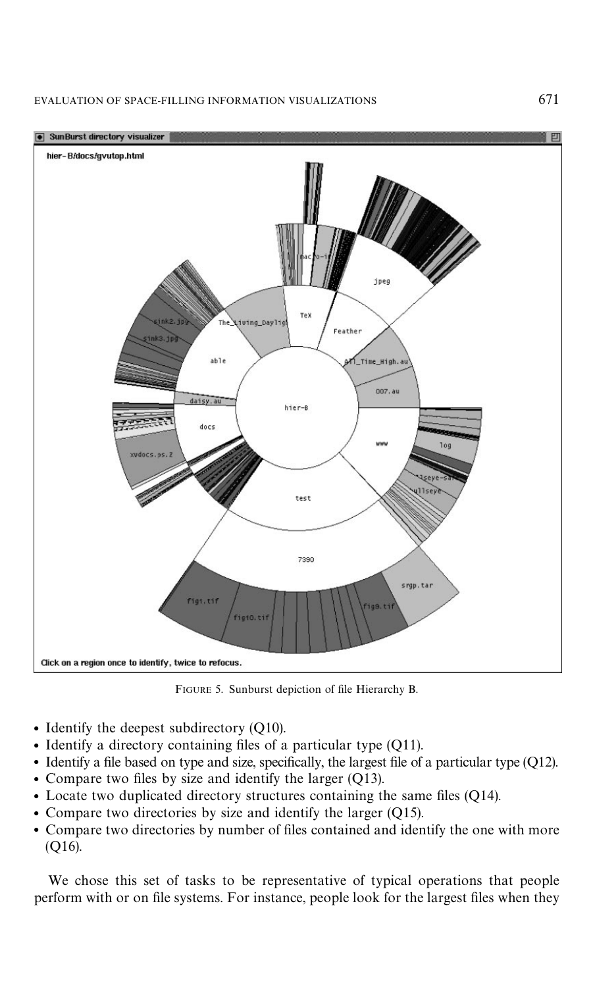#### <span id="page-8-0"></span>EVALUATION OF SPACE-FILLING INFORMATION VISUALIZATIONS 671



FIGURE 5. Sunburst depiction of file Hierarchy B.

- Identify the deepest subdirectory  $(Q10)$ .
- $\bullet$  Identify a directory containing files of a particular type (Q11).
- $\bullet$  Identify a file based on type and size, specifically, the largest file of a particular type (Q12).
- Compare two files by size and identify the larger  $(Q13)$ .
- $\bullet$  Locate two duplicated directory structures containing the same files (Q14).
- Compare two directories by size and identify the larger  $(Q15)$ .
- Compare two directories by number of files contained and identify the one with more (Q16).

We chose this set of tasks to be representative of typical operations that people perform with or on file systems. For instance, people look for the largest files when they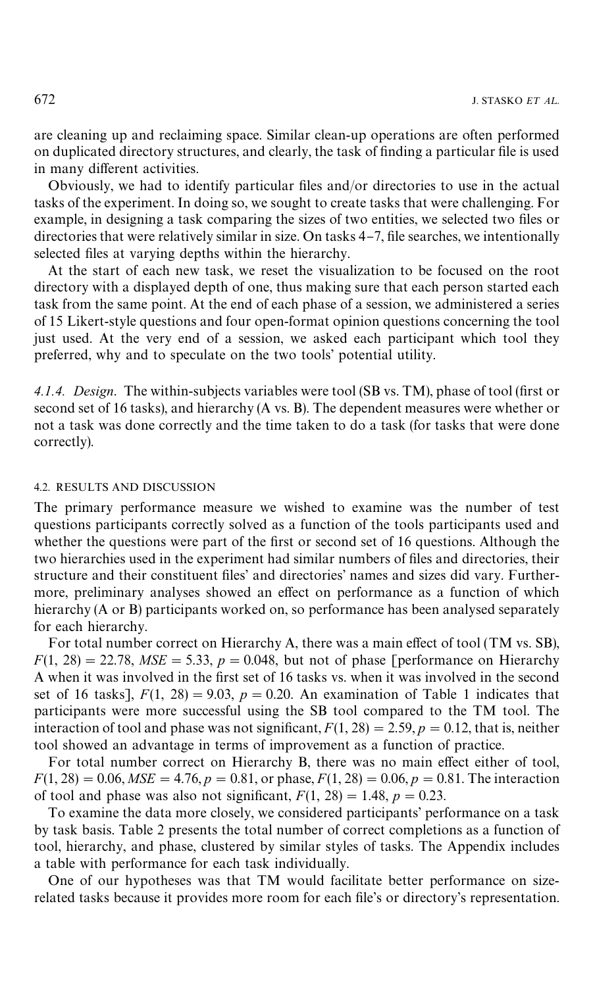are cleaning up and reclaiming space. Similar clean-up operations are often performed on duplicated directory structures, and clearly, the task of finding a particular file is used in many different activities.

Obviously, we had to identify particular files and/or directories to use in the actual tasks of the experiment. In doing so, we sought to create tasks that were challenging. For example, in designing a task comparing the sizes of two entities, we selected two files or directories that were relatively similar in size. On tasks  $4-7$ , file searches, we intentionally selected files at varying depths within the hierarchy.

At the start of each new task, we reset the visualization to be focused on the root directory with a displayed depth of one, thus making sure that each person started each task from the same point. At the end of each phase of a session, we administered a series of 15 Likert-style questions and four open-format opinion questions concerning the tool just used. At the very end of a session, we asked each participant which tool they preferred, why and to speculate on the two tools' potential utility.

4.1.4. Design. The within-subjects variables were tool (SB vs. TM), phase of tool (first or second set of 16 tasks), and hierarchy (A vs. B). The dependent measures were whether or not a task was done correctly and the time taken to do a task (for tasks that were done correctly).

#### 4.2. RESULTS AND DISCUSSION

The primary performance measure we wished to examine was the number of test questions participants correctly solved as a function of the tools participants used and whether the questions were part of the first or second set of 16 questions. Although the two hierarchies used in the experiment had similar numbers of files and directories, their structure and their constituent files' and directories' names and sizes did vary. Furthermore, preliminary analyses showed an effect on performance as a function of which hierarchy (A or B) participants worked on, so performance has been analysed separately for each hierarchy.

For total number correct on Hierarchy A, there was a main effect of tool (TM vs. SB),  $F(1, 28) = 22.78$ ,  $MSE = 5.33$ ,  $p = 0.048$ , but not of phase [performance on Hierarchy A when it was involved in the first set of 16 tasks vs. when it was involved in the second set of 16 tasks],  $F(1, 28) = 9.03$ ,  $p = 0.20$ . An examination of [Table 1](#page-10-0) indicates that participants were more successful using the SB tool compared to the TM tool. The interaction of tool and phase was not significant,  $F(1, 28) = 2.59$ ,  $p = 0.12$ , that is, neither tool showed an advantage in terms of improvement as a function of practice.

For total number correct on Hierarchy B, there was no main effect either of tool,  $F(1, 28) = 0.06$ ,  $MSE = 4.76$ ,  $p = 0.81$ , or phase,  $F(1, 28) = 0.06$ ,  $p = 0.81$ . The interaction of tool and phase was also not significant,  $F(1, 28) = 1.48$ ,  $p = 0.23$ .

To examine the data more closely, we considered participants' performance on a task by task basis. [Table 2](#page-11-0) presents the total number of correct completions as a function of tool, hierarchy, and phase, clustered by similar styles of tasks. The [Appendix](#page-28-0) includes a table with performance for each task individually.

One of our hypotheses was that TM would facilitate better performance on sizerelated tasks because it provides more room for each file's or directory's representation.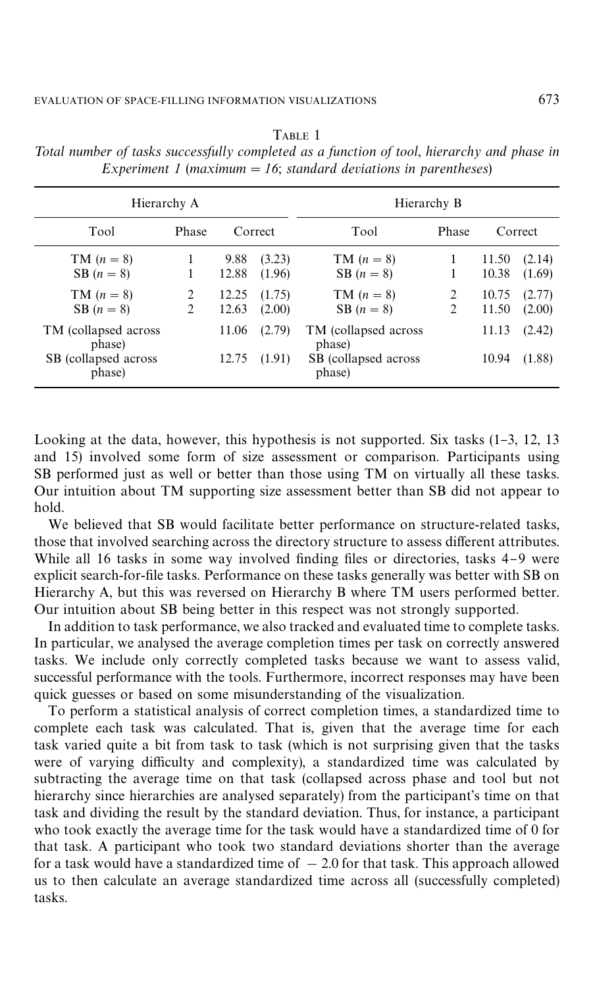| Hierarchy A                     |        |                        |                            | Hierarchy B                     |   |                         |                            |  |  |
|---------------------------------|--------|------------------------|----------------------------|---------------------------------|---|-------------------------|----------------------------|--|--|
| Tool                            | Phase  | Correct                |                            | Tool<br>Phase                   |   | Correct                 |                            |  |  |
| $TM (n = 8)$<br>SB $(n=8)$      | 1<br>2 | 9.88<br>12.88<br>12.25 | (3.23)<br>(1.96)<br>(1.75) | $TM (n = 8)$<br>SB $(n=8)$      | 2 | 11.50<br>10.38<br>10.75 | (2.14)<br>(1.69)<br>(2.77) |  |  |
| $TM (n = 8)$<br>SB $(n=8)$      | 2      | 12.63                  | (2.00)                     | $TM (n = 8)$<br>SB $(n=8)$      | 2 | 11.50                   | (2.00)                     |  |  |
| TM (collapsed across)<br>phase) |        | 11.06                  | (2.79)                     | TM (collapsed across)<br>phase) |   | 11.13                   | (2.42)                     |  |  |
| SB (collapsed across)<br>phase) |        | 12.75                  | (1.91)                     | SB (collapsed across)<br>phase) |   | 10.94                   | (1.88)                     |  |  |

<span id="page-10-0"></span>TABLE 1 *Total number of tasks successfully completed as a function of tool, hierarchy and phase in Experiment 1* (*maximum*  $= 16$ ; *standard deviations in parentheses*)

Looking at the data, however, this hypothesis is not supported. Six tasks  $(1-3, 12, 13)$ and 15) involved some form of size assessment or comparison. Participants using SB performed just as well or better than those using TM on virtually all these tasks. Our intuition about TM supporting size assessment better than SB did not appear to hold.

We believed that SB would facilitate better performance on structure-related tasks, those that involved searching across the directory structure to assess different attributes. While all 16 tasks in some way involved finding files or directories, tasks 4-9 were explicit search-for-file tasks. Performance on these tasks generally was better with SB on Hierarchy A, but this was reversed on Hierarchy B where TM users performed better. Our intuition about SB being better in this respect was not strongly supported.

In addition to task performance, we also tracked and evaluated time to complete tasks. In particular, we analysed the average completion times per task on correctly answered tasks. We include only correctly completed tasks because we want to assess valid, successful performance with the tools. Furthermore, incorrect responses may have been quick guesses or based on some misunderstanding of the visualization.

To perform a statistical analysis of correct completion times, a standardized time to complete each task was calculated. That is, given that the average time for each task varied quite a bit from task to task (which is not surprising given that the tasks were of varying difficulty and complexity), a standardized time was calculated by subtracting the average time on that task (collapsed across phase and tool but not hierarchy since hierarchies are analysed separately) from the participant's time on that task and dividing the result by the standard deviation. Thus, for instance, a participant who took exactly the average time for the task would have a standardized time of 0 for that task. A participant who took two standard deviations shorter than the average for a task would have a standardized time of  $-2.0$  for that task. This approach allowed us to then calculate an average standardized time across all (successfully completed) tasks.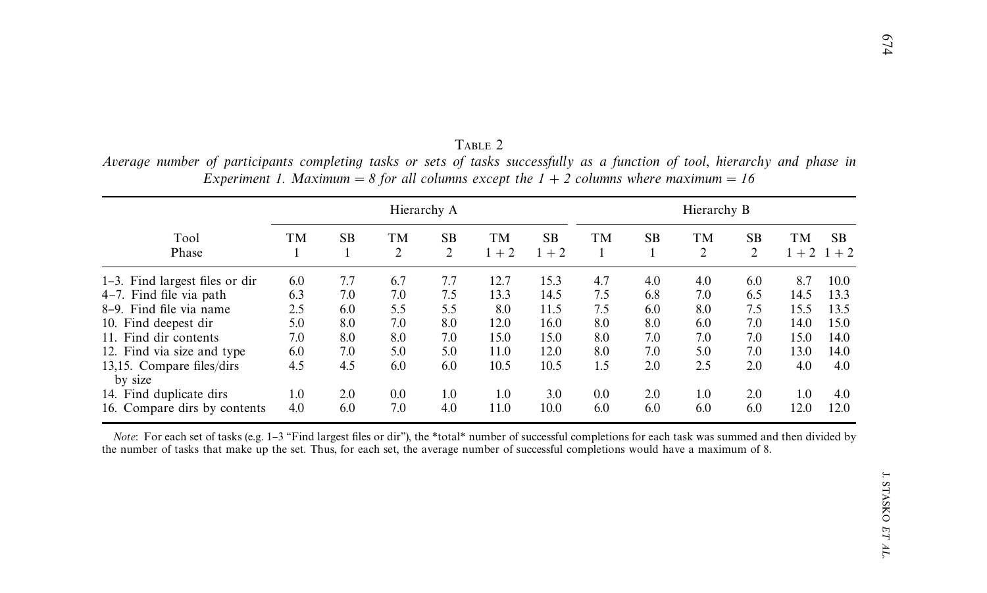|                                      |     |           |                      | Hierarchy A |               |                      |     |           | Hierarchy B |                |               |                |
|--------------------------------------|-----|-----------|----------------------|-------------|---------------|----------------------|-----|-----------|-------------|----------------|---------------|----------------|
| Tool<br>Phase                        | TМ  | <b>SB</b> | TМ<br>$\overline{c}$ | SB<br>2     | TМ<br>$1 + 2$ | <b>SB</b><br>$1 + 2$ | TМ  | <b>SB</b> | TМ<br>2     | <b>SB</b><br>2 | TМ<br>$1 + 2$ | SB.<br>$1 + 2$ |
| 1–3. Find largest files or dir       | 6.0 | 7.7       | 6.7                  | 7.7         | 12.7          | 15.3                 | 4.7 | 4.0       | 4.0         | 6.0            | 8.7           | 10.0           |
| $4-7$ . Find file via path           | 6.3 | 7.0       | 7.0                  | 7.5         | 13.3          | 14.5                 | 7.5 | 6.8       | 7.0         | 6.5            | 14.5          | 13.3           |
| 8–9. Find file via name              | 2.5 | 6.0       | 5.5                  | 5.5         | 8.0           | 11.5                 | 7.5 | 6.0       | 8.0         | 7.5            | 15.5          | 13.5           |
| 10. Find deepest dir                 | 5.0 | 8.0       | 7.0                  | 8.0         | 12.0          | 16.0                 | 8.0 | 8.0       | 6.0         | 7.0            | 14.0          | 15.0           |
| 11. Find dir contents                | 7.0 | 8.0       | 8.0                  | 7.0         | 15.0          | 15.0                 | 8.0 | 7.0       | 7.0         | 7.0            | 15.0          | 14.0           |
| 12. Find via size and type           | 6.0 | 7.0       | 5.0                  | 5.0         | 11.0          | 12.0                 | 8.0 | 7.0       | 5.0         | 7.0            | 13.0          | 14.0           |
| 13,15. Compare files/dirs<br>by size | 4.5 | 4.5       | 6.0                  | 6.0         | 10.5          | 10.5                 | 1.5 | 2.0       | 2.5         | 2.0            | 4.0           | 4.0            |
| 14. Find duplicate dirs              | 1.0 | 2.0       | 0.0                  | 1.0         | 1.0           | 3.0                  | 0.0 | 2.0       | 1.0         | 2.0            | 1.0           | 4.0            |
| 16. Compare dirs by contents         | 4.0 | 6.0       | 7.0                  | 4.0         | 11.0          | 10.0                 | 6.0 | 6.0       | 6.0         | 6.0            | 12.0          | 12.0           |

<span id="page-11-0"></span>TABLE 2 Average number of participants completing tasks or sets of tasks successfully as a function of tool, hierarchy and phase in Experiment 1. Maximum = 8 for all columns except the  $1 + 2$  columns where maximum = 16

*Note*: For each set of tasks (e.g. 1-3 "Find largest files or dir"), the \*total\* number of successful completions for each task was summed and then divided by the number of tasks that make up the set. Thus, for each set, the average number of successful completions would have <sup>a</sup> maximum of 8.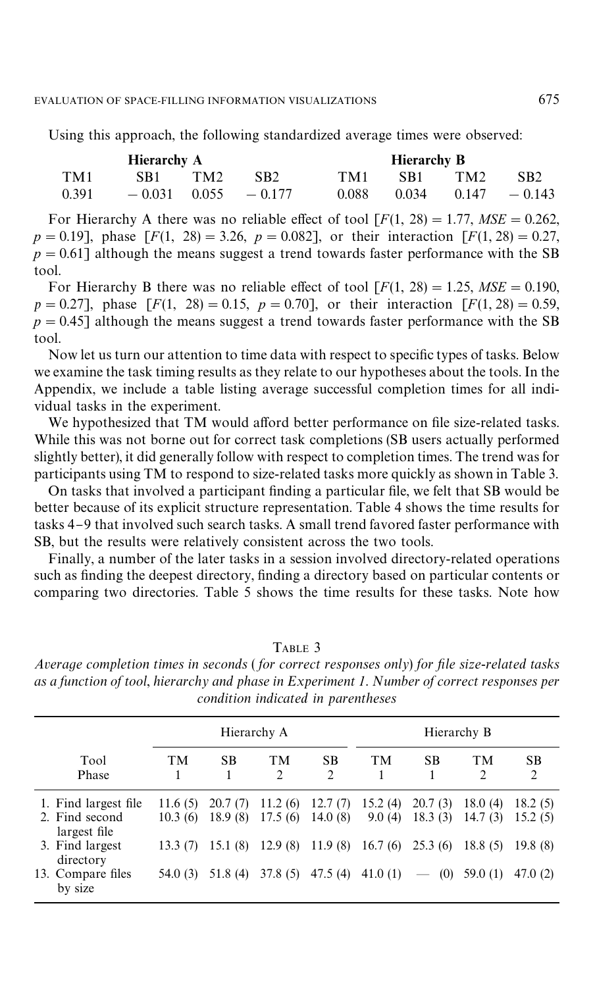Using this approach, the following standardized average times were observed:

|       | <b>Hierarchy A</b> |     |                           |       | Hierarchy B |                 |                          |
|-------|--------------------|-----|---------------------------|-------|-------------|-----------------|--------------------------|
| TM1   | SB1 -              | TM2 | SB <sub>2</sub>           | TM1   | SB1         | TM <sub>2</sub> | SB <sub>2</sub>          |
| 0.391 |                    |     | $-0.031$ $0.055$ $-0.177$ | 0.088 |             |                 | $0.034$ $0.147$ $-0.143$ |

For Hierarchy A there was no reliable effect of tool  $[F(1, 28) = 1.77, MSE = 0.262$ ,  $p = 0.19$ ], phase  $[F(1, 28)] = 3.26$ ,  $p = 0.082$ ], or their interaction  $[F(1, 28)] = 0.27$ ,  $p = 0.61$ ] although the means suggest a trend towards faster performance with the SB tool.

For Hierarchy B there was no reliable effect of tool  $[F(1, 28) = 1.25, MSE = 0.190$ ,  $p = 0.27$ ], phase  $[F(1, 28) = 0.15, p = 0.70]$ , or their interaction  $[F(1, 28) = 0.59,$  $p = 0.45$ ] although the means suggest a trend towards faster performance with the SB tool.

Now let us turn our attention to time data with respect to specific types of tasks. Below we examine the task timing results as they relate to our hypotheses about the tools. In the Appendix, we include a table listing average successful completion times for all individual tasks in the experiment.

We hypothesized that TM would afford better performance on file size-related tasks. While this was not borne out for correct task completions (SB users actually performed slightly better), it did generally follow with respect to completion times. The trend was for participants using TM to respond to size-related tasks more quickly as shown in Table 3.

On tasks that involved a participant finding a particular file, we felt that SB would be better because of its explicit structure representation. [Table 4](#page-13-0) shows the time results for tasks 4–9 that involved such search tasks. A small trend favored faster performance with SB, but the results were relatively consistent across the two tools.

Finally, a number of the later tasks in a session involved directory-related operations such as finding the deepest directory, finding a directory based on particular contents or comparing two directories. [Table 5](#page-13-0) shows the time results for these tasks. Note how

Hierarchy A Hierarchy B Tool TM SB TM SB TM SB TM SB Phase 1 1 2 2 1 1 2 2 1. Find largest file 11.6 (5) 20.7 (7) 11.2 (6) 12.7 (7) 15.2 (4) 20.7 (3) 18.0 (4) 18.2 (5) 2. Find second 10.3 (6) 18.9 (8) 17.5 (6) 14.0 (8) 9.0 (4) 18.3 (3) 14.7 (3) 15.2 (5)  $9.0$  (4) 18.3 (3) largest file<br>3. Find largest 3. Find largest 13.3 (7) 15.1 (8) 12.9 (8) 11.9 (8) 16.7 (6) 25.3 (6) 18.8 (5) 19.8 (8) directory 13. Compare files 54.0 (3) 51.8 (4) 37.8 (5) 47.5 (4) 41.0 (1) - (0) 59.0 (1) 47.0 (2) by size

TABLE 3

| Average completion times in seconds (for correct responses only) for file size-related tasks |
|----------------------------------------------------------------------------------------------|
| as a function of tool, hierarchy and phase in Experiment 1. Number of correct responses per  |
| condition indicated in parentheses                                                           |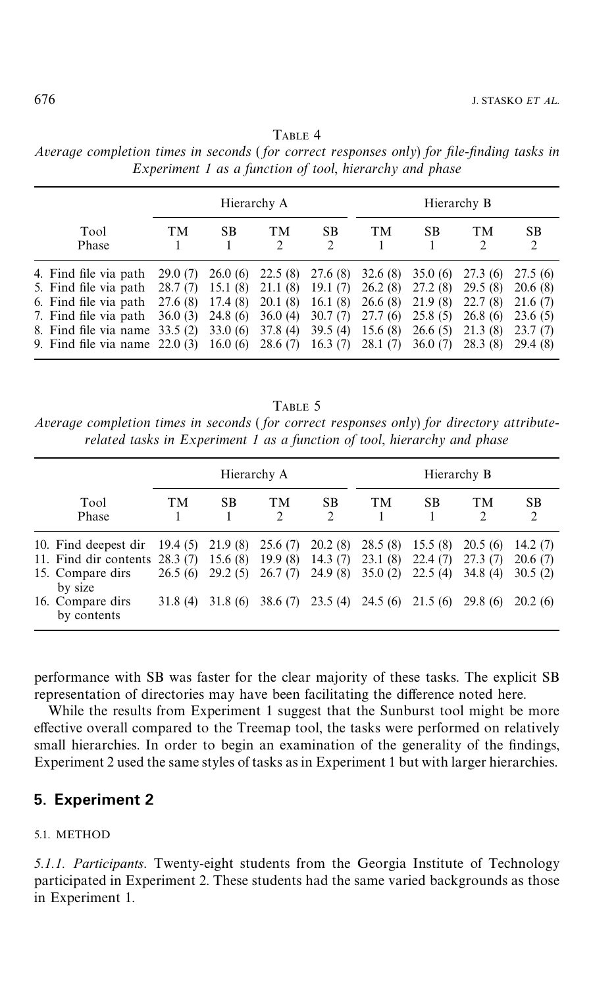## TABLE 4

<span id="page-13-0"></span>

| Average completion times in seconds (for correct responses only) for file-finding tasks in |  |  |                                                         |  |  |  |
|--------------------------------------------------------------------------------------------|--|--|---------------------------------------------------------|--|--|--|
|                                                                                            |  |  | Experiment 1 as a function of tool, hierarchy and phase |  |  |  |

|                                                                                                                                                                       |                                           |                                                                 | Hierarchy A                                                    |                                                                 |                                                                |                                                                | Hierarchy B                                                     |                                                                  |
|-----------------------------------------------------------------------------------------------------------------------------------------------------------------------|-------------------------------------------|-----------------------------------------------------------------|----------------------------------------------------------------|-----------------------------------------------------------------|----------------------------------------------------------------|----------------------------------------------------------------|-----------------------------------------------------------------|------------------------------------------------------------------|
| Tool<br>Phase                                                                                                                                                         | TМ                                        | SB                                                              | TМ<br>$\mathfrak{D}$                                           | <b>SB</b><br>2                                                  | TМ                                                             | <b>SB</b>                                                      | TM<br>2                                                         | <b>SB</b><br>$\mathcal{L}$                                       |
| 4. Find file via path<br>5. Find file via path<br>6. Find file via path<br>7. Find file via path<br>8. Find file via name 33.5 (2)<br>9. Find file via name $22.0(3)$ | 29.0(7)<br>28.7(7)<br>27.6 (8)<br>36.0(3) | 26.0(6)<br>15.1(8)<br>17.4 (8)<br>24.8(6)<br>33.0(6)<br>16.0(6) | 22.5(8)<br>21.1(8)<br>20.1(8)<br>36.0(4)<br>37.8(4)<br>28.6(7) | 27.6 (8)<br>19.1(7)<br>16.1(8)<br>30.7(7)<br>39.5(4)<br>16.3(7) | 32.6(8)<br>26.2(8)<br>26.6(8)<br>27.7(6)<br>15.6(8)<br>28.1(7) | 35.0(6)<br>27.2(8)<br>21.9(8)<br>25.8(5)<br>26.6(5)<br>36.0(7) | 27.3 (6)<br>29.5(8)<br>22.7(8)<br>26.8(6)<br>21.3(8)<br>28.3(8) | 27.5 (6)<br>20.6(8)<br>21.6(7)<br>23.6(5)<br>23.7(7)<br>29.4 (8) |

TABLE 5

*Average completion times in seconds* ( *for correct responses only*) *for directory attributerelated tasks in Experiment 1 as a function of tool*, *hierarchy and phase*

|                                                                                                                           |                                |                                          | Hierarchy A                              |                                          | Hierarchy B                               |                                          |                                          |                                          |  |
|---------------------------------------------------------------------------------------------------------------------------|--------------------------------|------------------------------------------|------------------------------------------|------------------------------------------|-------------------------------------------|------------------------------------------|------------------------------------------|------------------------------------------|--|
| Tool<br>Phase                                                                                                             | TМ                             | <b>SB</b>                                | TM<br>$\mathfrak{D}$                     | <b>SB</b><br>2                           | <b>TM</b>                                 | <b>SB</b>                                | TМ<br>2                                  | <b>SB</b><br>$\mathfrak{D}$              |  |
| 10. Find deepest dir<br>11. Find dir contents $28.3(7)$<br>15. Compare dirs<br>by size<br>16. Compare dirs<br>by contents | 19.4(5)<br>26.5(6)<br>31.8 (4) | 21.9(8)<br>15.6(8)<br>29.2(5)<br>31.8(6) | 25.6(7)<br>19.9(8)<br>26.7(7)<br>38.6(7) | 20.2(8)<br>14.3(7)<br>24.9(8)<br>23.5(4) | 28.5(8)<br>23.1(8)<br>35.0(2)<br>24.5 (6) | 15.5(8)<br>22.4(7)<br>22.5(4)<br>21.5(6) | 20.5(6)<br>27.3(7)<br>34.8(4)<br>29.8(6) | 14.2(7)<br>20.6(7)<br>30.5(2)<br>20.2(6) |  |

performance with SB was faster for the clear majority of these tasks. The explicit SB representation of directories may have been facilitating the difference noted here.

While the results from Experiment 1 suggest that the Sunburst tool might be more effective overall compared to the Treemap tool, the tasks were performed on relatively small hierarchies. In order to begin an examination of the generality of the findings, Experiment 2 used the same styles of tasks as in Experiment 1 but with larger hierarchies.

## **5. Experiment 2**

### 5.1. METHOD

*5.1.1. Participants*. Twenty-eight students from the Georgia Institute of Technology participated in Experiment 2. These students had the same varied backgrounds as those in Experiment 1.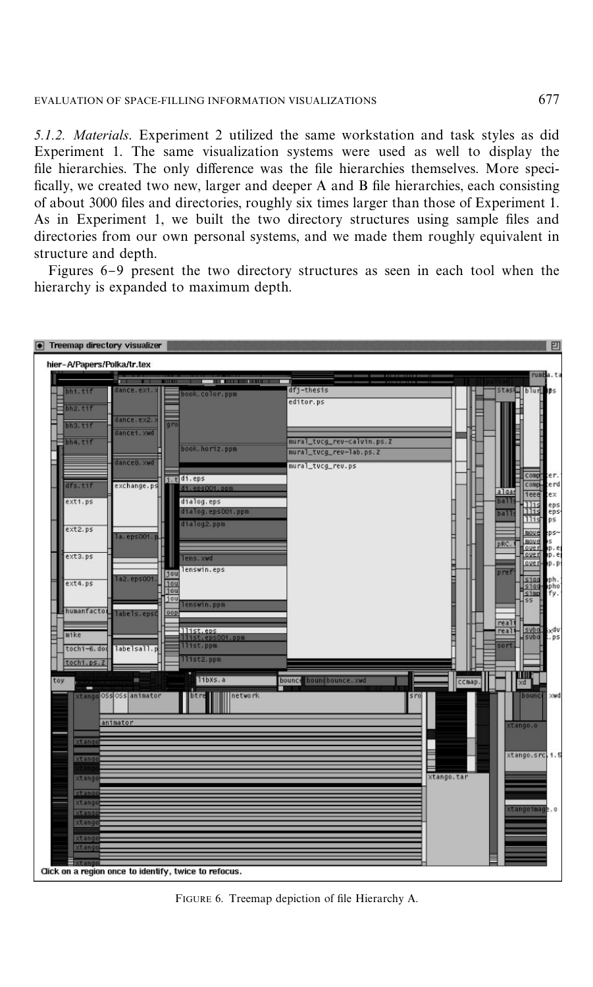#### EVALUATION OF SPACE-FILLING INFORMATION VISUALIZATIONS 677

*5.1.2. Materials*. Experiment 2 utilized the same workstation and task styles as did Experiment 1. The same visualization systems were used as well to display the file hierarchies. The only difference was the file hierarchies themselves. More speci-fically, we created two new, larger and deeper A and B file hierarchies, each consisting of about 3000 files and directories, roughly six times larger than those of Experiment 1. As in Experiment 1, we built the two directory structures using sample files and directories from our own personal systems, and we made them roughly equivalent in structure and depth.

Figures  $6-9$  $6-9$  present the two directory structures as seen in each tool when the hierarchy is expanded to maximum depth.



FIGURE 6. Treemap depiction of file Hierarchy A.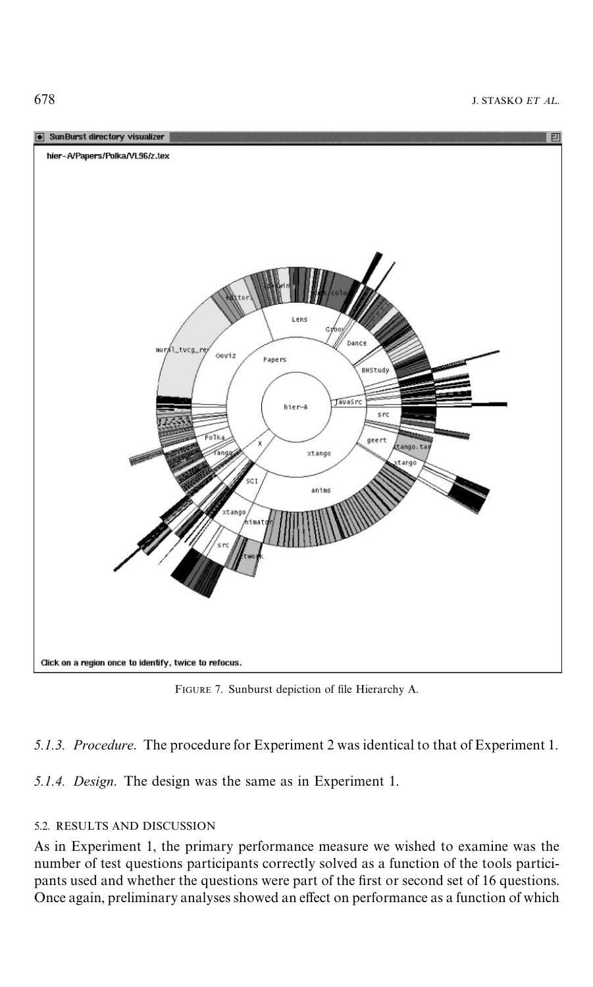

FIGURE 7. Sunburst depiction of file Hierarchy A.

*5.1.3. Procedure*. The procedure for Experiment 2 was identical to that of Experiment 1.

*5.1.4. Design*. The design was the same as in Experiment 1.

### 5.2. RESULTS AND DISCUSSION

As in Experiment 1, the primary performance measure we wished to examine was the number of test questions participants correctly solved as a function of the tools participants used and whether the questions were part of the first or second set of 16 questions. Once again, preliminary analyses showed an effect on performance as a function of which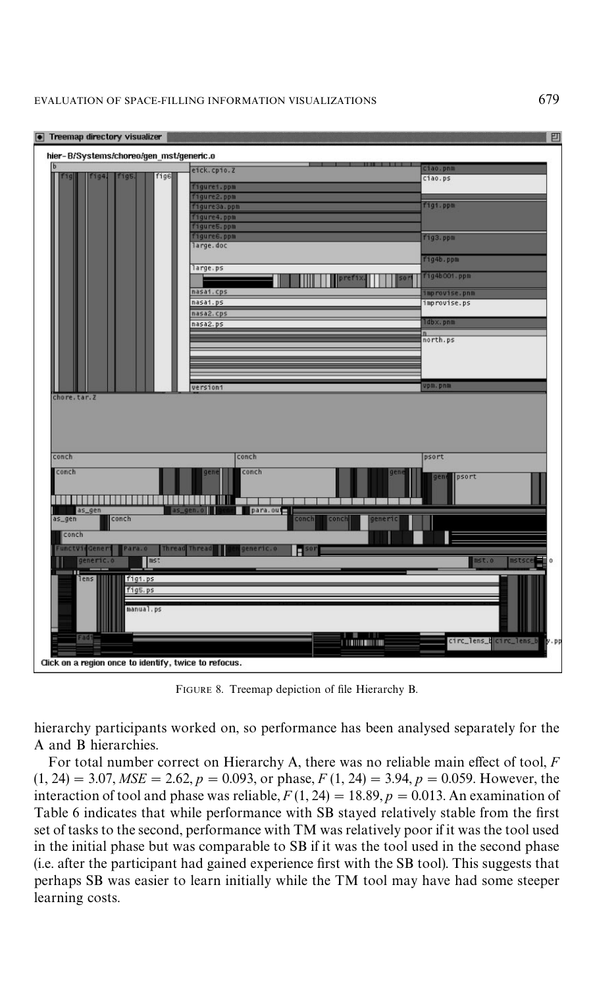#### EVALUATION OF SPACE-FILLING INFORMATION VISUALIZATIONS 679



FIGURE 8. Treemap depiction of file Hierarchy B.

hierarchy participants worked on, so performance has been analysed separately for the A and B hierarchies.

For total number correct on Hierarchy A, there was no reliable main effect of tool, *F*  $(1, 24) = 3.07$ ,  $MSE = 2.62$ ,  $p = 0.093$ , or phase,  $F(1, 24) = 3.94$ ,  $p = 0.059$ . However, the interaction of tool and phase was reliable,  $F(1, 24) = 18.89, p = 0.013$ . An examination of [Table 6](#page-18-0) indicates that while performance with SB stayed relatively stable from the first set of tasks to the second, performance with TM was relatively poor if it was the tool used in the initial phase but was comparable to SB if it was the tool used in the second phase (i.e. after the participant had gained experience first with the SB tool). This suggests that perhaps SB was easier to learn initially while the TM tool may have had some steeper learning costs.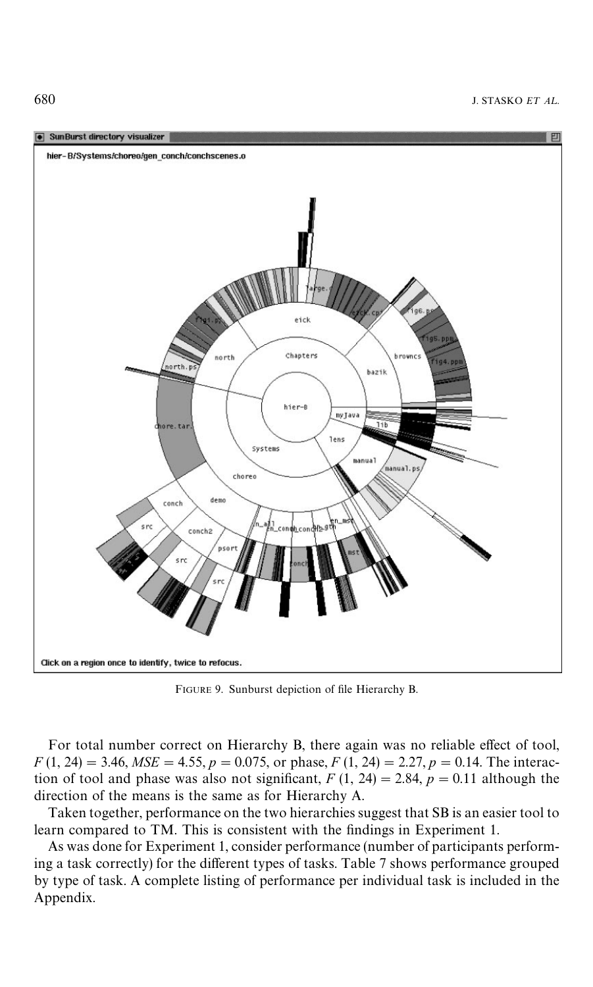<span id="page-17-0"></span>

FIGURE 9. Sunburst depiction of file Hierarchy B.

For total number correct on Hierarchy B, there again was no reliable effect of tool,  $F(1, 24) = 3.46$ ,  $MSE = 4.55$ ,  $p = 0.075$ , or phase,  $F(1, 24) = 2.27$ ,  $p = 0.14$ . The interaction of tool and phase was also not significant,  $F(1, 24) = 2.84$ ,  $p = 0.11$  although the direction of the means is the same as for Hierarchy A.

Taken together, performance on the two hierarchies suggest that SB is an easier tool to learn compared to TM. This is consistent with the findings in Experiment 1.

As was done for Experiment 1, consider performance (number of participants perform-ing a task correctly) for the different types of tasks. [Table 7](#page-19-0) shows performance grouped by type of task. A complete listing of performance per individual task is included in the [Appendix.](#page-28-0)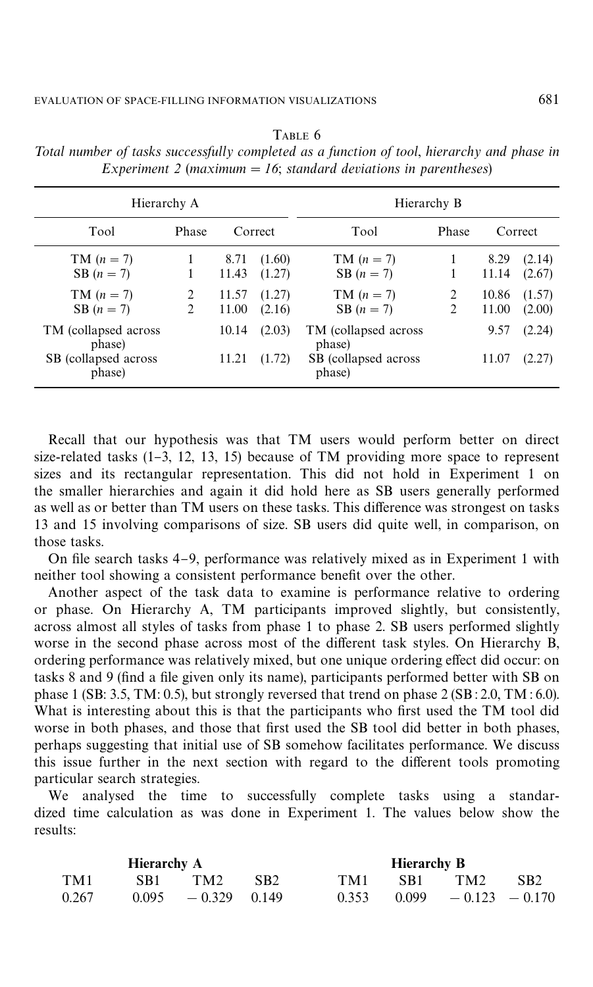| Hierarchy A                                                  |                  |                                 |                                      | Hierarchy B                                                  |        |                                 |                                      |  |  |
|--------------------------------------------------------------|------------------|---------------------------------|--------------------------------------|--------------------------------------------------------------|--------|---------------------------------|--------------------------------------|--|--|
| Tool                                                         | <b>Phase</b>     | Correct                         |                                      | Tool                                                         | Phase  |                                 | Correct                              |  |  |
| $TM (n = 7)$<br>$SB (n = 7)$<br>$TM (n = 7)$<br>$SB (n = 7)$ | 1<br>1<br>2<br>2 | 8.71<br>11.43<br>11.57<br>11.00 | (1.60)<br>(1.27)<br>(1.27)<br>(2.16) | $TM (n = 7)$<br>$SB (n = 7)$<br>$TM (n = 7)$<br>$SB (n = 7)$ | 2<br>2 | 8.29<br>11.14<br>10.86<br>11.00 | (2.14)<br>(2.67)<br>(1.57)<br>(2.00) |  |  |
| TM (collapsed across)<br>phase)<br>SB (collapsed across)     |                  | 10.14<br>11.21                  | (2.03)<br>(1.72)                     | TM (collapsed across)<br>phase)<br>SB (collapsed across)     |        | 9.57<br>11.07                   | (2.24)<br>(2.27)                     |  |  |
| phase)                                                       |                  |                                 |                                      | phase)                                                       |        |                                 |                                      |  |  |

<span id="page-18-0"></span>TABLE 6 *Total number of tasks successfully completed as a function of tool, hierarchy and phase in Experiment* 2 (*maximum*  $= 16$ ; *standard deviations in parentheses*)

Recall that our hypothesis was that TM users would perform better on direct size-related tasks  $(1-3, 12, 13, 15)$  because of TM providing more space to represent sizes and its rectangular representation. This did not hold in Experiment 1 on the smaller hierarchies and again it did hold here as SB users generally performed as well as or better than TM users on these tasks. This difference was strongest on tasks 13 and 15 involving comparisons of size. SB users did quite well, in comparison, on those tasks.

On file search tasks  $4-9$ , performance was relatively mixed as in Experiment 1 with neither tool showing a consistent performance benefit over the other.

Another aspect of the task data to examine is performance relative to ordering or phase. On Hierarchy A, TM participants improved slightly, but consistently, across almost all styles of tasks from phase 1 to phase 2. SB users performed slightly worse in the second phase across most of the different task styles. On Hierarchy B, ordering performance was relatively mixed, but one unique ordering effect did occur: on tasks 8 and 9 (find a file given only its name), participants performed better with SB on phase 1 (SB: 3.5, TM: 0.5), but strongly reversed that trend on phase 2 (SB:2.0, TM: 6.0). What is interesting about this is that the participants who first used the TM tool did worse in both phases, and those that first used the SB tool did better in both phases, perhaps suggesting that initial use of SB somehow facilitates performance. We discuss this issue further in the next section with regard to the different tools promoting particular search strategies.

We analysed the time to successfully complete tasks using a standardized time calculation as was done in Experiment 1. The values below show the results:

|       | <b>Hierarchy A</b> |                       |                 |       | Hierarchy B |                         |                 |
|-------|--------------------|-----------------------|-----------------|-------|-------------|-------------------------|-----------------|
| TM1   | SB1                | TM2                   | SB <sub>2</sub> | TM1   | -SB1 -      | TM <sub>2</sub>         | SB <sub>2</sub> |
| 0.267 |                    | $0.095 - 0.329 0.149$ |                 | 0.353 |             | $0.099 - 0.123 - 0.170$ |                 |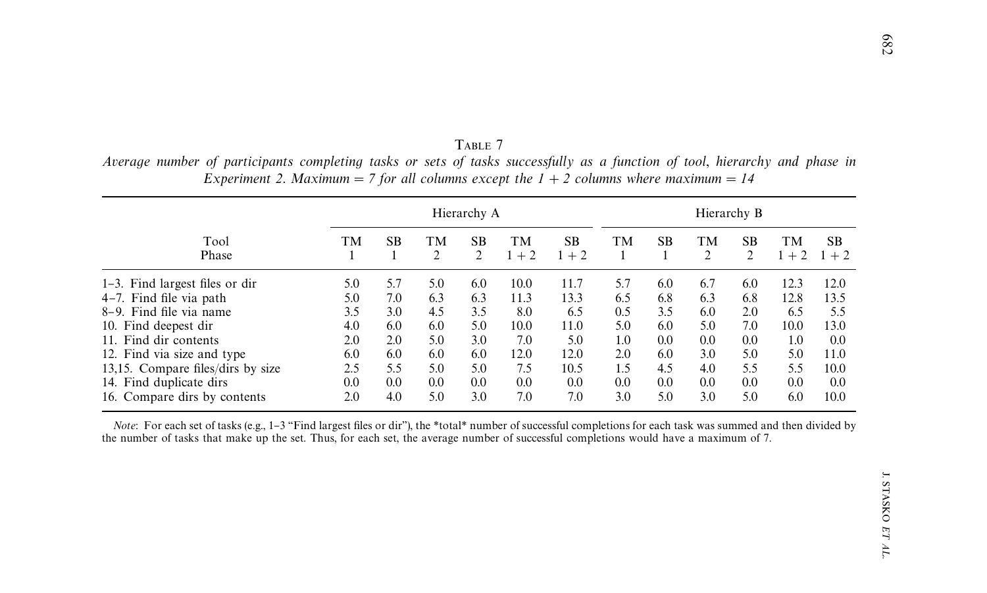|                                   |     | Hierarchy A |                      |                |               |             |     |           | Hierarchy B          |                      |               |                   |  |
|-----------------------------------|-----|-------------|----------------------|----------------|---------------|-------------|-----|-----------|----------------------|----------------------|---------------|-------------------|--|
| Tool<br>Phase                     | TM. | SB.         | TМ<br>$\overline{2}$ | <b>SB</b><br>2 | TM<br>$1 + 2$ | SB.<br>$+2$ | TM  | <b>SB</b> | TМ<br>$\overline{2}$ | SB<br>$\overline{c}$ | TМ<br>$1 + 2$ | <b>SB</b><br>$+2$ |  |
| $1-3$ . Find largest files or dir | 5.0 | 5.7         | 5.0                  | 6.0            | 10.0          | 11.7        | 5.7 | 6.0       | 6.7                  | 6.0                  | 12.3          | 12.0              |  |
| 4-7. Find file via path           | 5.0 | 7.0         | 6.3                  | 6.3            | 11.3          | 13.3        | 6.5 | 6.8       | 6.3                  | 6.8                  | 12.8          | 13.5              |  |
| 8–9. Find file via name           | 3.5 | 3.0         | 4.5                  | 3.5            | 8.0           | 6.5         | 0.5 | 3.5       | 6.0                  | 2.0                  | 6.5           | 5.5               |  |
| 10. Find deepest dir              | 4.0 | 6.0         | 6.0                  | 5.0            | 10.0          | 11.0        | 5.0 | 6.0       | 5.0                  | 7.0                  | 10.0          | 13.0              |  |
| 11. Find dir contents             | 2.0 | 2.0         | 5.0                  | 3.0            | 7.0           | 5.0         | 1.0 | 0.0       | $0.0\,$              | 0.0                  | 1.0           | 0.0               |  |
| 12. Find via size and type        | 6.0 | 6.0         | 6.0                  | 6.0            | 12.0          | 12.0        | 2.0 | 6.0       | 3.0                  | 5.0                  | 5.0           | 11.0              |  |
| 13,15. Compare files/dirs by size | 2.5 | 5.5         | 5.0                  | 5.0            | 7.5           | 10.5        | 1.5 | 4.5       | 4.0                  | 5.5                  | 5.5           | 10.0              |  |
| 14. Find duplicate dirs           | 0.0 | 0.0         | 0.0                  | 0.0            | 0.0           | 0.0         | 0.0 | 0.0       | $0.0\,$              | 0.0                  | 0.0           | 0.0               |  |
| 16. Compare dirs by contents      | 2.0 | 4.0         | 5.0                  | 3.0            | 7.0           | 7.0         | 3.0 | 5.0       | 3.0                  | 5.0                  | 6.0           | 10.0              |  |

<span id="page-19-0"></span>TABLE 7 Average number of participants completing tasks or sets of tasks successfully as a function of tool, hierarchy and phase in Experiment 2. Maximum = 7 for all columns except the  $1 + 2$  columns where maximum = 14

*Note*: For each set of tasks (e.g., 1-3 "Find largest files or dir"), the \*total\* number of successful completions for each task was summed and then divided by the number of tasks that make up the set. Thus, for each set, the average number of successful completions would have <sup>a</sup> maximum of 7.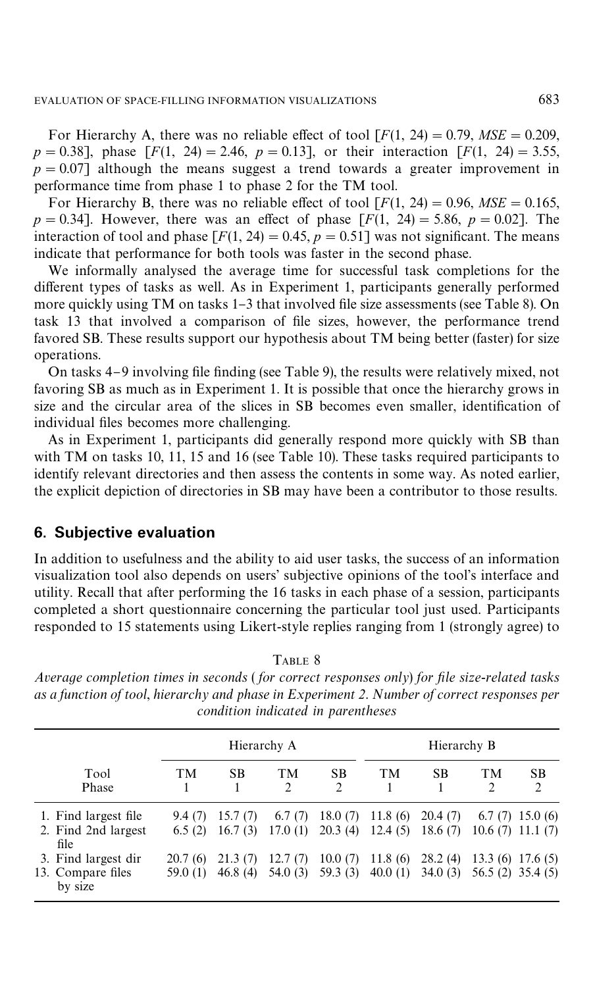For Hierarchy A, there was no reliable effect of tool  $[F(1, 24) = 0.79, MSE = 0.209,$  $p = 0.38$ ], phase  $[F(1, 24) = 2.46, p = 0.13]$ , or their interaction  $[F(1, 24) = 3.55]$ ,  $p = 0.07$  although the means suggest a trend towards a greater improvement in performance time from phase 1 to phase 2 for the TM tool.

For Hierarchy B, there was no reliable effect of tool  $[F(1, 24) = 0.96, MSE = 0.165,$  $p = 0.34$ . However, there was an effect of phase  $[F(1, 24) = 5.86, p = 0.02]$ . The interaction of tool and phase  $[F(1, 24) = 0.45, p = 0.51]$  was not significant. The means indicate that performance for both tools was faster in the second phase.

We informally analysed the average time for successful task completions for the different types of tasks as well. As in Experiment 1, participants generally performed more quickly using TM on tasks 1–3 that involved file size assessments (see Table 8). On task 13 that involved a comparison of file sizes, however, the performance trend favored SB. These results support our hypothesis about TM being better (faster) for size operations.

On tasks  $4-9$  involving file finding (se[e Table 9\)](#page-21-0), the results were relatively mixed, not favoring SB as much as in Experiment 1. It is possible that once the hierarchy grows in size and the circular area of the slices in SB becomes even smaller, identification of individual files becomes more challenging.

As in Experiment 1, participants did generally respond more quickly with SB than with TM on tasks 10, 11, 15 and 16 (see [Table 10\)](#page-21-0). These tasks required participants to identify relevant directories and then assess the contents in some way. As noted earlier, the explicit depiction of directories in SB may have been a contributor to those results.

## **6. Subjective evaluation**

In addition to usefulness and the ability to aid user tasks, the success of an information visualization tool also depends on users' subjective opinions of the tool's interface and utility. Recall that after performing the 16 tasks in each phase of a session, participants completed a short questionnaire concerning the particular tool just used. Participants responded to 15 statements using Likert-style replies ranging from 1 (strongly agree) to

|                                                                            |                             |                               | Hierarchy A                  |                               | Hierarchy B                   |                               |                             |                                                                 |  |  |
|----------------------------------------------------------------------------|-----------------------------|-------------------------------|------------------------------|-------------------------------|-------------------------------|-------------------------------|-----------------------------|-----------------------------------------------------------------|--|--|
| Tool<br>Phase                                                              | <b>TM</b>                   | <b>SB</b>                     | TM<br>$\mathfrak{D}$         | <b>SB</b><br>$\mathfrak{D}$   | <b>TM</b>                     | <b>SB</b>                     | <b>TM</b><br>$\mathfrak{D}$ | <b>SB</b><br>$\overline{2}$                                     |  |  |
| 1. Find largest file<br>2. Find 2nd largest<br>file<br>3. Find largest dir | 9.4(7)<br>6.5(2)<br>20.7(6) | 15.7(7)<br>16.7(3)<br>21.3(7) | 6.7(7)<br>17.0(1)<br>12.7(7) | 18.0(7)<br>20.3(4)<br>10.0(7) | 11.8(6)<br>12.4(5)<br>11.8(6) | 20.4(7)<br>18.6(7)<br>28.2(4) |                             | $6.7(7)$ 15.0 (6)<br>$10.6(7)$ 11.1 $(7)$<br>$13.3(6)$ 17.6 (5) |  |  |
| 13. Compare files<br>by size                                               | 59.0 (1)                    | 46.8(4)                       | 54.0(3)                      | 59.3(3)                       | 40.0(1)                       | 34.0(3)                       | 56.5 (2) 35.4 (5)           |                                                                 |  |  |

TABLE 8

*Average completion times in seconds* ( *for correct responses only*) *for* ,*le size*-*related tasks as a function of tool*, *hierarchy and phase in Experiment 2*. *Number of correct responses per condition indicated in parentheses*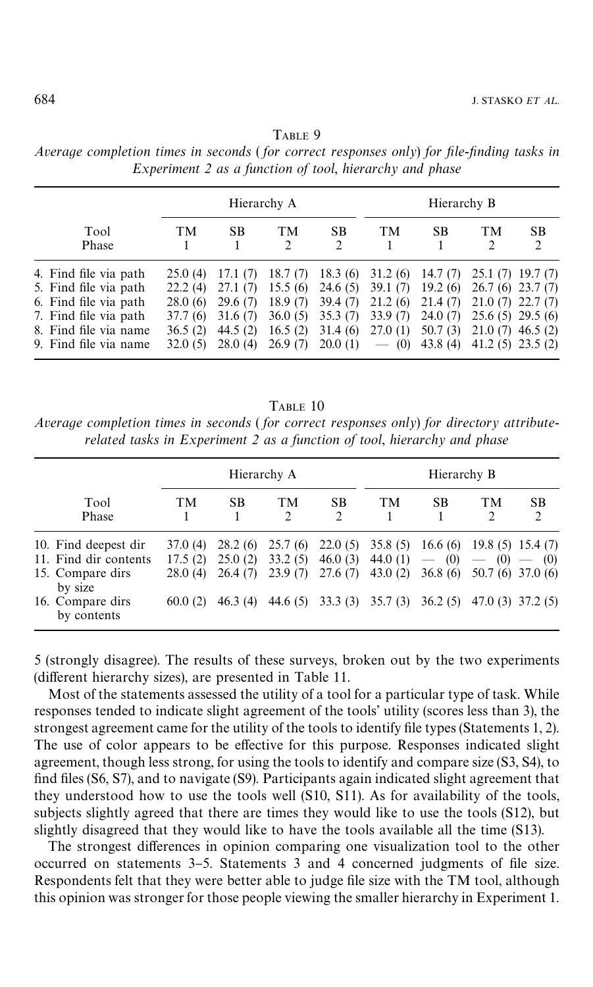|                                                                                                                                                    |                                                                  |                                                                   | Hierarchy A                                                    |                                                                | Hierarchy B                                                    |                                                                   |                                                                |                                                                 |  |  |
|----------------------------------------------------------------------------------------------------------------------------------------------------|------------------------------------------------------------------|-------------------------------------------------------------------|----------------------------------------------------------------|----------------------------------------------------------------|----------------------------------------------------------------|-------------------------------------------------------------------|----------------------------------------------------------------|-----------------------------------------------------------------|--|--|
| Tool<br>Phase                                                                                                                                      | TM                                                               | SB                                                                | TM<br>$\mathcal{D}$                                            | <b>SB</b><br>$\mathcal{D}$                                     | <b>TM</b>                                                      | <b>SB</b>                                                         | <b>TM</b>                                                      | <b>SB</b><br>$\mathfrak{D}_{\mathfrak{p}}$                      |  |  |
| 4. Find file via path<br>5. Find file via path<br>6. Find file via path<br>7. Find file via path<br>8. Find file via name<br>9. Find file via name | 25.0(4)<br>22.2(4)<br>28.0 (6)<br>37.7 (6)<br>36.5(2)<br>32.0(5) | 17.1(7)<br>27.1(7)<br>29.6(7)<br>31.6(7)<br>44.5 $(2)$<br>28.0(4) | 18.7(7)<br>15.5(6)<br>18.9(7)<br>36.0(5)<br>16.5(2)<br>26.9(7) | 18.3(6)<br>24.6(5)<br>39.4(7)<br>35.3(7)<br>31.4(6)<br>20.0(1) | 31.2(6)<br>39.1(7)<br>21.2(6)<br>33.9(7)<br>27.0(1)<br>$-$ (0) | 14.7(7)<br>19.2(6)<br>21.4(7)<br>24.0(7)<br>50.7(3)<br>43.8 $(4)$ | $21.0(7)$ 22.7 (7)<br>$25.6(5)$ 29.5 (6)<br>$21.0(7)$ 46.5 (2) | $25.1(7)$ 19.7 (7)<br>$26.7(6)$ 23.7 $(7)$<br>$41.2(5)$ 23.5(2) |  |  |

<span id="page-21-0"></span>*Average completion times in seconds (for correct responses only) for file-finding tasks in Experiment 2 as a function of tool*, *hierarchy and phase*

TABLE 10

*Average completion times in seconds* ( *for correct responses only*) *for directory attributerelated tasks in Experiment 2 as a function of tool*, *hierarchy and phase*

|                                                                                                                 |                                           |                                          | Hierarchy A                                 |                                          | Hierarchy B                                 |                                                                  |                                                |                                                                            |  |  |
|-----------------------------------------------------------------------------------------------------------------|-------------------------------------------|------------------------------------------|---------------------------------------------|------------------------------------------|---------------------------------------------|------------------------------------------------------------------|------------------------------------------------|----------------------------------------------------------------------------|--|--|
| Tool<br>Phase                                                                                                   | <b>TM</b>                                 | SB                                       | <b>TM</b><br>$\mathfrak{D}$                 | <b>SB</b><br>$\mathfrak{D}$              | <b>TM</b>                                   | SB                                                               | <b>TM</b><br>2                                 | <b>SB</b><br>2                                                             |  |  |
| 10. Find deepest dir<br>11. Find dir contents<br>15. Compare dirs<br>by size<br>16. Compare dirs<br>by contents | 37.0 (4)<br>17.5(2)<br>28.0(4)<br>60.0(2) | 28.2(6)<br>25.0(2)<br>26.4(7)<br>46.3(4) | 25.7(6)<br>33.2(5)<br>23.9(7)<br>44.6 $(5)$ | 22.0(5)<br>46.0(3)<br>27.6(7)<br>33.3(3) | 35.8(5)<br>44.0 $(1)$<br>43.0(2)<br>35.7(3) | 16.6(6)<br>(0)<br>$\overline{\phantom{m}}$<br>36.8(6)<br>36.2(5) | $19.8(5)$ 15.4 (7)<br>(0)<br>$\hspace{0.05cm}$ | (0)<br>$\overline{\phantom{0}}$<br>50.7 (6) 37.0 (6)<br>$47.0(3)$ 37.2 (5) |  |  |

5 (strongly disagree). The results of these surveys, broken out by the two experiments (different hierarchy sizes), are presented in [Table 11.](#page-22-0)

Most of the statements assessed the utility of a tool for a particular type of task. While responses tended to indicate slight agreement of the tools' utility (scores less than 3), the strongest agreement came for the utility of the tools to identify file types (Statements 1, 2). The use of color appears to be effective for this purpose. Responses indicated slight agreement, though less strong, for using the tools to identify and compare size (S3, S4), to find files (S6, S7), and to navigate (S9). Participants again indicated slight agreement that they understood how to use the tools well (S10, S11). As for availability of the tools, subjects slightly agreed that there are times they would like to use the tools (S12), but slightly disagreed that they would like to have the tools available all the time (S13).

The strongest differences in opinion comparing one visualization tool to the other occurred on statements 3–5. Statements 3 and 4 concerned judgments of file size. Respondents felt that they were better able to judge file size with the TM tool, although this opinion was stronger for those people viewing the smaller hierarchy in Experiment 1.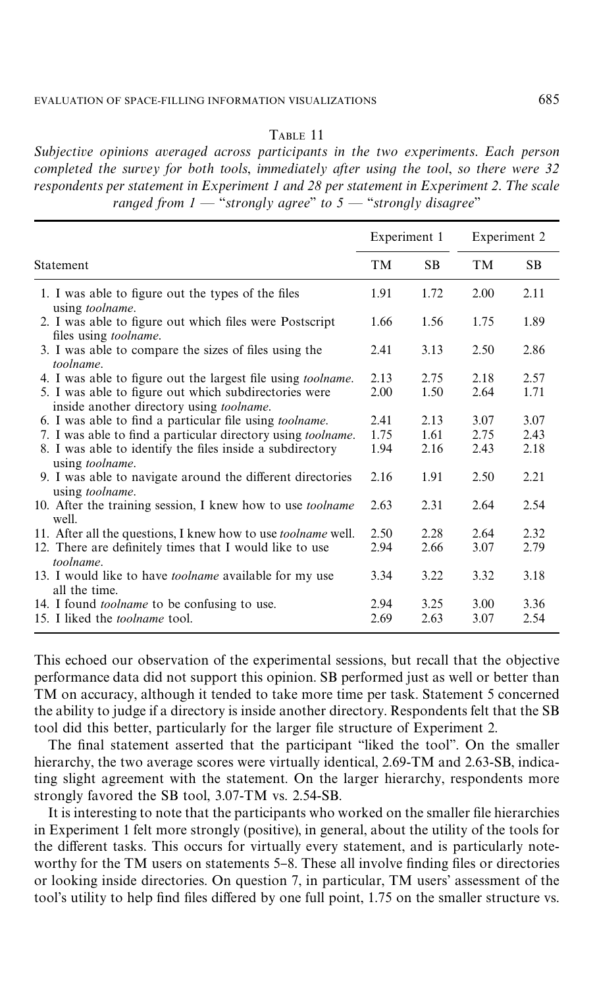#### TABLE 11

<span id="page-22-0"></span>*Subjective opinions averaged across participants in the two experiments*. *Each person completed the survey for both tools*, *immediately after using the tool*, *so there were 32 respondents per statement in Experiment 1 and 28 per statement in Experiment 2. The scale ranged from*  $1 -$  "*strongly agree*" *to*  $5 -$  "*strongly disagree*"

|                                                                                                           | Experiment 1 |           | Experiment 2 |      |  |
|-----------------------------------------------------------------------------------------------------------|--------------|-----------|--------------|------|--|
| Statement                                                                                                 | <b>TM</b>    | <b>SB</b> | <b>TM</b>    | SB.  |  |
| 1. I was able to figure out the types of the files<br>using toolname.                                     | 1.91         | 1.72      | 2.00         | 2.11 |  |
| 2. I was able to figure out which files were Postscript<br>files using <i>toolname</i> .                  | 1.66         | 1.56      | 1.75         | 1.89 |  |
| 3. I was able to compare the sizes of files using the<br>toolname.                                        | 2.41         | 3.13      | 2.50         | 2.86 |  |
| 4. I was able to figure out the largest file using <i>toolname</i> .                                      | 2.13         | 2.75      | 2.18         | 2.57 |  |
| 5. I was able to figure out which subdirectories were<br>inside another directory using <i>toolname</i> . | 2.00         | 1.50      | 2.64         | 1.71 |  |
| 6. I was able to find a particular file using <i>toolname</i> .                                           | 2.41         | 2.13      | 3.07         | 3.07 |  |
| 7. I was able to find a particular directory using <i>toolname</i> .                                      | 1.75         | 1.61      | 2.75         | 2.43 |  |
| 8. I was able to identify the files inside a subdirectory<br>using toolname.                              | 1.94         | 2.16      | 2.43         | 2.18 |  |
| 9. I was able to navigate around the different directories<br>using toolname.                             | 2.16         | 1.91      | 2.50         | 2.21 |  |
| 10. After the training session, I knew how to use toolname<br>well.                                       | 2.63         | 2.31      | 2.64         | 2.54 |  |
| 11. After all the questions, I knew how to use <i>toolname</i> well.                                      | 2.50         | 2.28      | 2.64         | 2.32 |  |
| 12. There are definitely times that I would like to use<br>toolname.                                      | 2.94         | 2.66      | 3.07         | 2.79 |  |
| 13. I would like to have <i>toolname</i> available for my use<br>all the time.                            | 3.34         | 3.22      | 3.32         | 3.18 |  |
| 14. I found <i>toolname</i> to be confusing to use.                                                       | 2.94         | 3.25      | 3.00         | 3.36 |  |
| 15. I liked the <i>toolname</i> tool.                                                                     | 2.69         | 2.63      | 3.07         | 2.54 |  |

This echoed our observation of the experimental sessions, but recall that the objective performance data did not support this opinion. SB performed just as well or better than TM on accuracy, although it tended to take more time per task. Statement 5 concerned the ability to judge if a directory is inside another directory. Respondents felt that the SB tool did this better, particularly for the larger file structure of Experiment 2.

The final statement asserted that the participant "liked the tool". On the smaller hierarchy, the two average scores were virtually identical, 2.69-TM and 2.63-SB, indicating slight agreement with the statement. On the larger hierarchy, respondents more strongly favored the SB tool, 3.07-TM vs. 2.54-SB.

It is interesting to note that the participants who worked on the smaller file hierarchies in Experiment 1 felt more strongly (positive), in general, about the utility of the tools for the different tasks. This occurs for virtually every statement, and is particularly noteworthy for the TM users on statements 5–8. These all involve finding files or directories or looking inside directories. On question 7, in particular, TM users' assessment of the tool's utility to help find files differed by one full point, 1.75 on the smaller structure vs.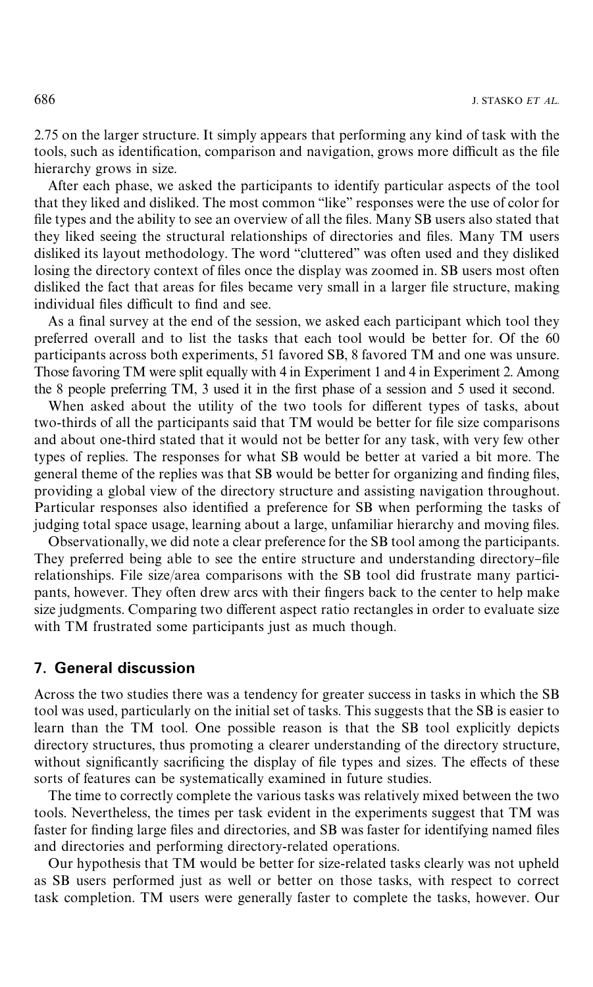2.75 on the larger structure. It simply appears that performing any kind of task with the tools, such as identification, comparison and navigation, grows more difficult as the file hierarchy grows in size.

After each phase, we asked the participants to identify particular aspects of the tool that they liked and disliked. The most common "like" responses were the use of color for file types and the ability to see an overview of all the files. Many SB users also stated that they liked seeing the structural relationships of directories and files. Many TM users disliked its layout methodology. The word "cluttered" was often used and they disliked losing the directory context of files once the display was zoomed in. SB users most often disliked the fact that areas for files became very small in a larger file structure, making individual files difficult to find and see.

As a final survey at the end of the session, we asked each participant which tool they preferred overall and to list the tasks that each tool would be better for. Of the 60 participants across both experiments, 51 favored SB, 8 favored TM and one was unsure. Those favoring TM were split equally with 4 in Experiment 1 and 4 in Experiment 2. Among the 8 people preferring TM, 3 used it in the first phase of a session and 5 used it second.

When asked about the utility of the two tools for different types of tasks, about two-thirds of all the participants said that TM would be better for file size comparisons and about one-third stated that it would not be better for any task, with very few other types of replies. The responses for what SB would be better at varied a bit more. The general theme of the replies was that SB would be better for organizing and finding files, providing a global view of the directory structure and assisting navigation throughout. Particular responses also identified a preference for SB when performing the tasks of judging total space usage, learning about a large, unfamiliar hierarchy and moving files.

Observationally, we did note a clear preference for the SB tool among the participants. They preferred being able to see the entire structure and understanding directory-file relationships. File size/area comparisons with the SB tool did frustrate many participants, however. They often drew arcs with their fingers back to the center to help make size judgments. Comparing two different aspect ratio rectangles in order to evaluate size with TM frustrated some participants just as much though.

## **7. General discussion**

Across the two studies there was a tendency for greater success in tasks in which the SB tool was used, particularly on the initial set of tasks. This suggests that the SB is easier to learn than the TM tool. One possible reason is that the SB tool explicitly depicts directory structures, thus promoting a clearer understanding of the directory structure, without significantly sacrificing the display of file types and sizes. The effects of these sorts of features can be systematically examined in future studies.

The time to correctly complete the various tasks was relatively mixed between the two tools. Nevertheless, the times per task evident in the experiments suggest that TM was faster for finding large files and directories, and SB was faster for identifying named files and directories and performing directory-related operations.

Our hypothesis that TM would be better for size-related tasks clearly was not upheld as SB users performed just as well or better on those tasks, with respect to correct task completion. TM users were generally faster to complete the tasks, however. Our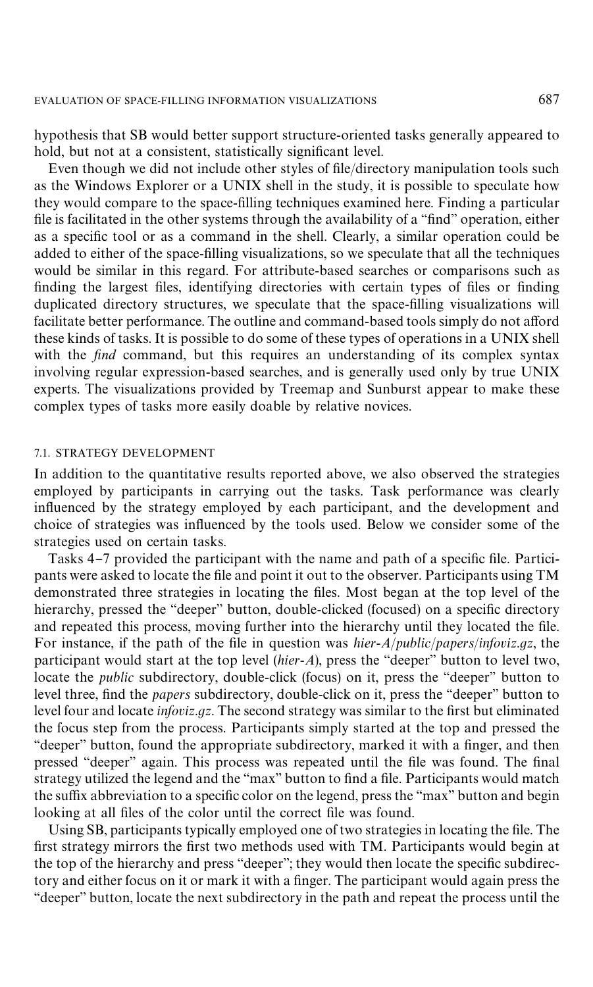hypothesis that SB would better support structure-oriented tasks generally appeared to hold, but not at a consistent, statistically significant level.

Even though we did not include other styles of file/directory manipulation tools such as the Windows Explorer or a UNIX shell in the study, it is possible to speculate how they would compare to the space-filling techniques examined here. Finding a particular file is facilitated in the other systems through the availability of a "find" operation, either as a specific tool or as a command in the shell. Clearly, a similar operation could be added to either of the space-filling visualizations, so we speculate that all the techniques would be similar in this regard. For attribute-based searches or comparisons such as finding the largest files, identifying directories with certain types of files or finding duplicated directory structures, we speculate that the space-filling visualizations will facilitate better performance. The outline and command-based tools simply do not afford these kinds of tasks. It is possible to do some of these types of operations in a UNIX shell with the *find* command, but this requires an understanding of its complex syntax involving regular expression-based searches, and is generally used only by true UNIX experts. The visualizations provided by Treemap and Sunburst appear to make these complex types of tasks more easily doable by relative novices.

#### 7.1. STRATEGY DEVELOPMENT

In addition to the quantitative results reported above, we also observed the strategies employed by participants in carrying out the tasks. Task performance was clearly influenced by the strategy employed by each participant, and the development and choice of strategies was in#uenced by the tools used. Below we consider some of the strategies used on certain tasks.

[Tasks 4](#page-13-0)–[7](#page-19-0) provided the participant with the name and path of a specific file. Participants were asked to locate the file and point it out to the observer. Participants using TM demonstrated three strategies in locating the files. Most began at the top level of the hierarchy, pressed the "deeper" button, double-clicked (focused) on a specific directory and repeated this process, moving further into the hierarchy until they located the file. For instance, if the path of the file in question was *hier-A/public/papers/infoviz.gz*, the participant would start at the top level *(hier-A)*, press the "deeper" button to level two, locate the *public* subdirectory, double-click (focus) on it, press the "deeper" button to level three, find the *papers* subdirectory, double-click on it, press the "deeper" button to level four and locate *infoviz.gz*. The second strategy was similar to the first but eliminated the focus step from the process. Participants simply started at the top and pressed the "deeper" button, found the appropriate subdirectory, marked it with a finger, and then pressed "deeper" again. This process was repeated until the file was found. The final strategy utilized the legend and the "max" button to find a file. Participants would match the suffix abbreviation to a specific color on the legend, press the "max" button and begin looking at all files of the color until the correct file was found.

Using SB, participants typically employed one of two strategies in locating the file. The first strategy mirrors the first two methods used with TM. Participants would begin at the top of the hierarchy and press "deeper"; they would then locate the specific subdirectory and either focus on it or mark it with a finger. The participant would again press the "deeper" button, locate the next subdirectory in the path and repeat the process until the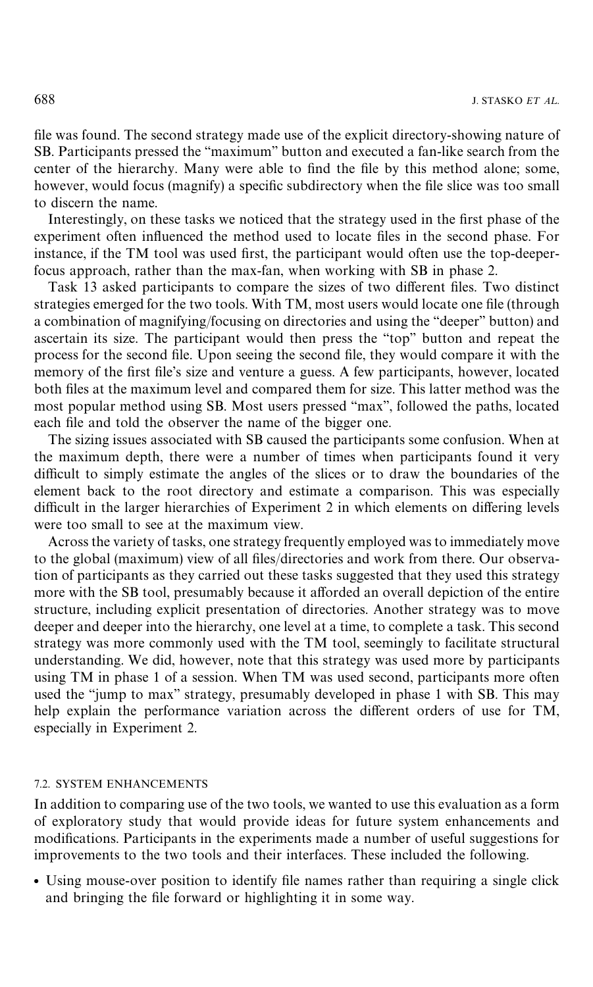file was found. The second strategy made use of the explicit directory-showing nature of SB. Participants pressed the "maximum" button and executed a fan-like search from the center of the hierarchy. Many were able to find the file by this method alone; some, however, would focus (magnify) a specific subdirectory when the file slice was too small to discern the name.

Interestingly, on these tasks we noticed that the strategy used in the first phase of the experiment often influenced the method used to locate files in the second phase. For instance, if the TM tool was used first, the participant would often use the top-deeperfocus approach, rather than the max-fan, when working with SB in phase 2.

Task 13 asked participants to compare the sizes of two different files. Two distinct strategies emerged for the two tools. With TM, most users would locate one file (through a combination of magnifying/focusing on directories and using the "deeper" button) and ascertain its size. The participant would then press the "top" button and repeat the process for the second file. Upon seeing the second file, they would compare it with the memory of the first file's size and venture a guess. A few participants, however, located both files at the maximum level and compared them for size. This latter method was the most popular method using SB. Most users pressed "max", followed the paths, located each file and told the observer the name of the bigger one.

The sizing issues associated with SB caused the participants some confusion. When at the maximum depth, there were a number of times when participants found it very difficult to simply estimate the angles of the slices or to draw the boundaries of the element back to the root directory and estimate a comparison. This was especially difficult in the larger hierarchies of Experiment 2 in which elements on differing levels were too small to see at the maximum view.

Across the variety of tasks, one strategy frequently employed was to immediately move to the global (maximum) view of all files/directories and work from there. Our observation of participants as they carried out these tasks suggested that they used this strategy more with the SB tool, presumably because it afforded an overall depiction of the entire structure, including explicit presentation of directories. Another strategy was to move deeper and deeper into the hierarchy, one level at a time, to complete a task. This second strategy was more commonly used with the TM tool, seemingly to facilitate structural understanding. We did, however, note that this strategy was used more by participants using TM in phase 1 of a session. When TM was used second, participants more often used the "jump to max" strategy, presumably developed in phase 1 with SB. This may help explain the performance variation across the different orders of use for TM, especially in Experiment 2.

#### 7.2. SYSTEM ENHANCEMENTS

In addition to comparing use of the two tools, we wanted to use this evaluation as a form of exploratory study that would provide ideas for future system enhancements and modifications. Participants in the experiments made a number of useful suggestions for improvements to the two tools and their interfaces. These included the following.

• Using mouse-over position to identify file names rather than requiring a single click and bringing the file forward or highlighting it in some way.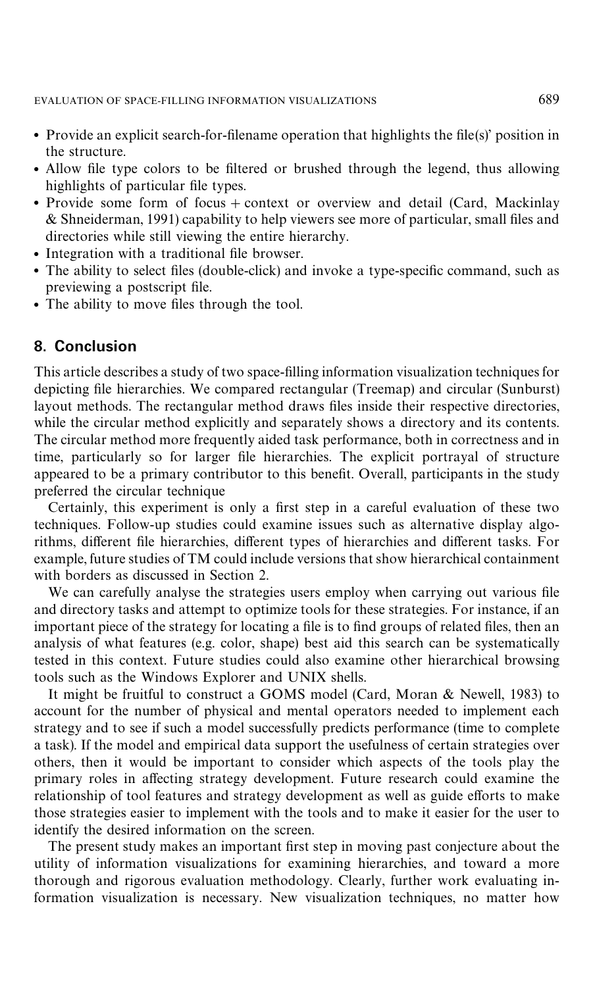- Provide an explicit search-for-filename operation that highlights the file(s)' position in the structure.
- Allow file type colors to be filtered or brushed through the legend, thus allowing highlights of particular file types.
- Provide some form of focus  $+$  context or overview and detail (Card, Mackinlay  $&$  Shneiderman, 1991) capability to help viewers see more of particular, small files and directories while still viewing the entire hierarchy.
- Integration with a traditional file browser.
- The ability to select files (double-click) and invoke a type-specific command, such as previewing a postscript file.
- The ability to move files through the tool.

## **8. Conclusion**

This article describes a study of two space-filling information visualization techniques for depicting file hierarchies. We compared rectangular (Treemap) and circular (Sunburst) layout methods. The rectangular method draws files inside their respective directories, while the circular method explicitly and separately shows a directory and its contents. The circular method more frequently aided task performance, both in correctness and in time, particularly so for larger file hierarchies. The explicit portrayal of structure appeared to be a primary contributor to this benefit. Overall, participants in the study preferred the circular technique

Certainly, this experiment is only a first step in a careful evaluation of these two techniques. Follow-up studies could examine issues such as alternative display algorithms, different file hierarchies, different types of hierarchies and different tasks. For example, future studies of TM could include versions that show hierarchical containment with borders as discussed in [Section 2.](#page-2-0)

We can carefully analyse the strategies users employ when carrying out various file and directory tasks and attempt to optimize tools for these strategies. For instance, if an important piece of the strategy for locating a file is to find groups of related files, then an analysis of what features (e.g. color, shape) best aid this search can be systematically tested in this context. Future studies could also examine other hierarchical browsing tools such as the Windows Explorer and UNIX shells.

It might be fruitful to construct a GOMS model [\(Card, Moran & Newell, 1983\)](#page-27-0) to account for the number of physical and mental operators needed to implement each strategy and to see if such a model successfully predicts performance (time to complete a task). If the model and empirical data support the usefulness of certain strategies over others, then it would be important to consider which aspects of the tools play the primary roles in affecting strategy development. Future research could examine the relationship of tool features and strategy development as well as guide efforts to make those strategies easier to implement with the tools and to make it easier for the user to identify the desired information on the screen.

The present study makes an important first step in moving past conjecture about the utility of information visualizations for examining hierarchies, and toward a more thorough and rigorous evaluation methodology. Clearly, further work evaluating information visualization is necessary. New visualization techniques, no matter how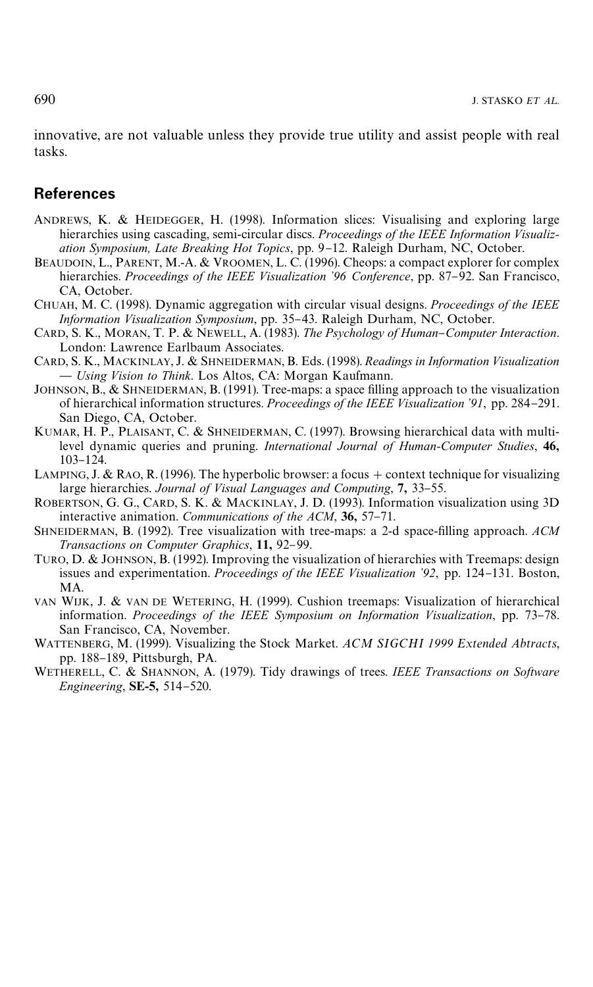<span id="page-27-0"></span>innovative, are not valuable unless they provide true utility and assist people with real tasks.

#### **References**

- ANDREWS, K. & HEIDEGGER, H. (1998). Information slices: Visualising and exploring large hierarchies using cascading, semi-circular discs. *Proceedings of the IEEE Information Visualization Symposium, Late Breaking Hot Topics*, pp. 9-12. Raleigh Durham, NC, October.
- BEAUDOIN, L., PARENT, M.-A. & VROOMEN, L. C. (1996). Cheops: a compact explorer for complex hierarchies. *Proceedings of the IEEE Visualization* '96 Conference, pp. 87-92. San Francisco, CA, October.
- CHUAH, M. C. (1998). Dynamic aggregation with circular visual designs. *Proceedings of the IEEE Information Visualization Symposium*, pp. 35–43. Raleigh Durham, NC, October.
- CARD, S. K., MORAN, T. P. & NEWELL, A. (1983). *The Psychology of Human*}*Computer Interaction*. London: Lawrence Earlbaum Associates.
- CARD, S. K., MACKINLAY, J. & SHNEIDERMAN, B. Eds. (1998). *Readings in Information Visualization* ~ *Using Vision to Think*. Los Altos, CA: Morgan Kaufmann.
- JOHNSON, B.,  $\&$  SHNEIDERMAN, B. (1991). Tree-maps: a space filling approach to the visualization of hierarchical information structures. *Proceedings of the IEEE Visualization* '91, pp. 284-291. San Diego, CA, October.
- KUMAR, H. P., PLAISANT, C. & SHNEIDERMAN, C. (1997). Browsing hierarchical data with multilevel dynamic queries and pruning. *International Journal of Human-Computer Studies*, 46, 103-124.
- LAMPING, J. & RAO, R. (1996). The hyperbolic browser: a focus + context technique for visualizing large hierarchies. *Journal of Visual Languages and Computing*, 7, 33-55.
- ROBERTSON, G. G., CARD, S. K. & MACKINLAY, J. D. (1993). Information visualization using 3D interactive animation. *Communications of the ACM*, 36, 57-71.
- SHNEIDERMAN, B. (1992). Tree visualization with tree-maps: a 2-d space-filling approach. ACM *Transactions on Computer Graphics*, 11, 92-99.
- TURO, D. & JOHNSON, B. (1992). Improving the visualization of hierarchies with Treemaps: design issues and experimentation. *Proceedings of the IEEE Visualization* '92, pp. 124-131. Boston, MA.
- VAN WIJK, J. & VAN DE WETERING, H. (1999). Cushion treemaps: Visualization of hierarchical information. *Proceedings of the IEEE Symposium on Information Visualization*, pp. 73-78. San Francisco, CA, November.
- WATTENBERG, M. (1999). Visualizing the Stock Market. *ACM SIGCHI 1999 Extended Abtracts*, pp. 188-189, Pittsburgh, PA.
- WETHERELL, C. & SHANNON, A. (1979). Tidy drawings of trees. *IEEE Transactions on Software Engineering*, **SE-5**, 514-520.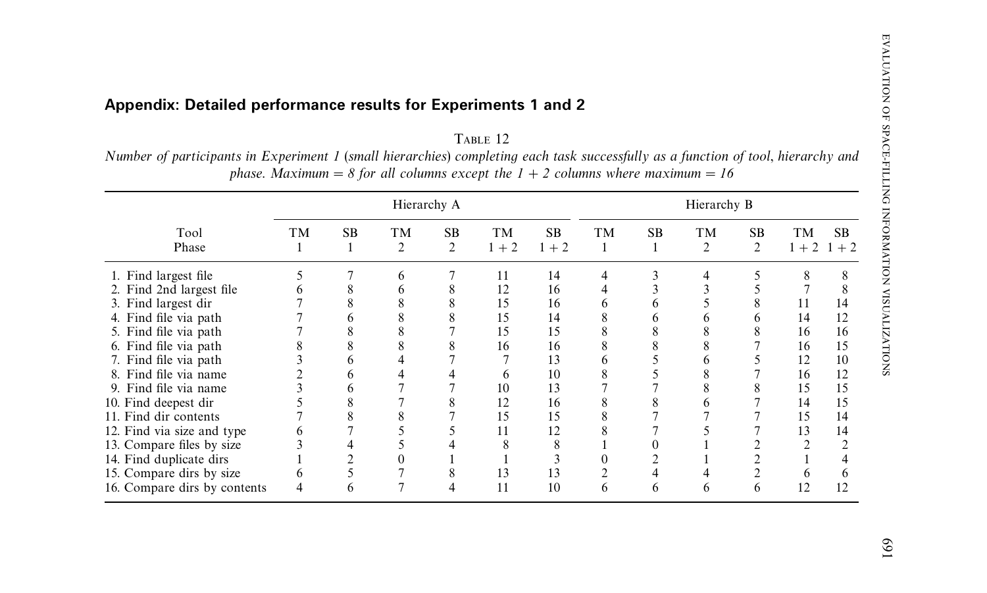## <span id="page-28-0"></span>**Appendix: Detailed performance results for Experiments 1 and 2**

TABLE 12 Number of participants in Experiment 1 (small hierarchies) completing each task successfully as a function of tool, hierarchy and *phase. Maximum* = *8 for all columns except the*  $1 + 2$  *columns where maximum* = 16

| Hierarchy A                                                                                                                                                                                                                                                                                                                                                          |    |                |                      |                | Hierarchy B                                                              |                                                                      |                           |           |                      |                             |                                                               |                                                          |
|----------------------------------------------------------------------------------------------------------------------------------------------------------------------------------------------------------------------------------------------------------------------------------------------------------------------------------------------------------------------|----|----------------|----------------------|----------------|--------------------------------------------------------------------------|----------------------------------------------------------------------|---------------------------|-----------|----------------------|-----------------------------|---------------------------------------------------------------|----------------------------------------------------------|
| Tool<br>Phase                                                                                                                                                                                                                                                                                                                                                        | TM | <b>SB</b><br>1 | TM<br>$\overline{2}$ | <b>SB</b><br>2 | <b>TM</b><br>$1 + 2$                                                     | <b>SB</b><br>$1 + 2$                                                 | <b>TM</b><br>$\mathbf{1}$ | <b>SB</b> | TM<br>$\overline{c}$ | <b>SB</b><br>$\overline{c}$ | TМ<br>$1 + 2$ 1                                               | <b>SB</b><br>$+2$                                        |
| 1. Find largest file<br>2. Find 2nd largest file<br>3. Find largest dir<br>4. Find file via path<br>5. Find file via path<br>6. Find file via path<br>7. Find file via path<br>8. Find file via name<br>9. Find file via name<br>10. Find deepest dir<br>11. Find dir contents<br>12. Find via size and type<br>13. Compare files by size<br>14. Find duplicate dirs |    |                | 6                    |                | 11<br>12<br>15<br>15<br>15<br>16<br><sub>0</sub><br>10<br>12<br>15<br>11 | 14<br>16<br>16<br>14<br>15<br>16<br>13<br>10<br>13<br>16<br>15<br>12 | 4                         |           |                      |                             | 8<br>11<br>14<br>16<br>16<br>12<br>16<br>15<br>14<br>15<br>13 | 14<br>12<br>16<br>15<br>10<br>12<br>15<br>15<br>14<br>14 |
| 15. Compare dirs by size<br>16. Compare dirs by contents                                                                                                                                                                                                                                                                                                             |    | n              |                      |                | 13<br>11                                                                 | 13<br>10                                                             | <sub>(</sub>              | h         | <sub>t</sub>         | h.                          | 12                                                            |                                                          |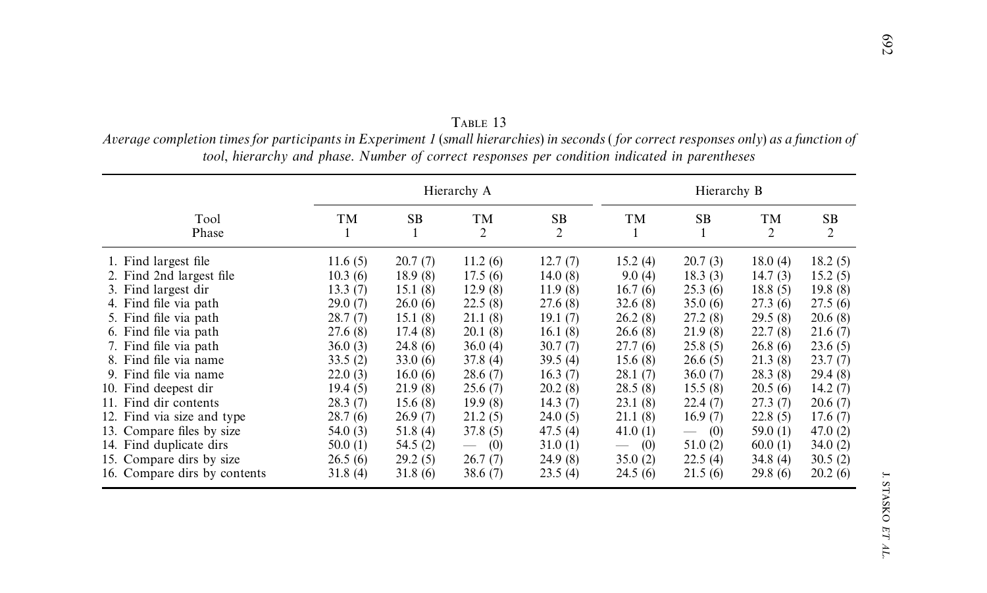|                              |                |          | Hierarchy A                     | Hierarchy B |                                        |                                 |            |         |  |
|------------------------------|----------------|----------|---------------------------------|-------------|----------------------------------------|---------------------------------|------------|---------|--|
| Tool<br>Phase                | <b>TM</b><br>1 | SB       | TM<br>2                         | SB<br>2     | TM<br>1                                | SB<br>1                         | TM<br>2    | SB<br>2 |  |
| 1. Find largest file         | 11.6(5)        | 20.7(7)  | 11.2(6)                         | 12.7(7)     | 15.2(4)                                | 20.7(3)                         | 18.0(4)    | 18.2(5) |  |
| 2. Find 2nd largest file     | 10.3(6)        | 18.9(8)  | 17.5(6)                         | 14.0 $(8)$  | 9.0(4)                                 | 18.3(3)                         | 14.7(3)    | 15.2(5) |  |
| 3. Find largest dir          | 13.3(7)        | 15.1(8)  | 12.9(8)                         | 11.9(8)     | 16.7(6)                                | 25.3(6)                         | 18.8(5)    | 19.8(8) |  |
| 4. Find file via path        | 29.0(7)        | 26.0(6)  | 22.5(8)                         | 27.6 (8)    | 32.6(8)                                | 35.0(6)                         | 27.3(6)    | 27.5(6) |  |
| 5. Find file via path        | 28.7(7)        | 15.1(8)  | 21.1(8)                         | 19.1(7)     | 26.2(8)                                | 27.2 (8)                        | 29.5(8)    | 20.6(8) |  |
| 6. Find file via path        | 27.6 (8)       | 17.4(8)  | 20.1(8)                         | 16.1(8)     | 26.6(8)                                | 21.9(8)                         | 22.7(8)    | 21.6(7) |  |
| 7. Find file via path        | 36.0(3)        | 24.8(6)  | 36.0(4)                         | 30.7(7)     | 27.7(6)                                | 25.8(5)                         | 26.8(6)    | 23.6(5) |  |
| 8. Find file via name        | 33.5(2)        | 33.0(6)  | 37.8(4)                         | 39.5(4)     | 15.6(8)                                | 26.6(5)                         | 21.3(8)    | 23.7(7) |  |
| 9. Find file via name        | 22.0(3)        | 16.0(6)  | 28.6(7)                         | 16.3(7)     | 28.1(7)                                | 36.0(7)                         | 28.3(8)    | 29.4(8) |  |
| 10. Find deepest dir         | 19.4(5)        | 21.9(8)  | 25.6(7)                         | 20.2(8)     | 28.5(8)                                | 15.5(8)                         | 20.5(6)    | 14.2(7) |  |
| 11. Find dir contents        | 28.3(7)        | 15.6(8)  | 19.9(8)                         | 14.3(7)     | 23.1(8)                                | 22.4(7)                         | 27.3(7)    | 20.6(7) |  |
| 12. Find via size and type   | 28.7(6)        | 26.9(7)  | 21.2(5)                         | 24.0(5)     | 21.1(8)                                | 16.9(7)                         | 22.8(5)    | 17.6(7) |  |
| 13. Compare files by size    | 54.0 (3)       | 51.8(4)  | 37.8 (5)                        | 47.5 $(4)$  | 41.0(1)                                | (0)<br>$\overline{\phantom{0}}$ | 59.0 $(1)$ | 47.0(2) |  |
| 14. Find duplicate dirs      | 50.0(1)        | 54.5 (2) | (0)<br>$\overline{\phantom{0}}$ | 31.0(1)     | (0)<br>$\overbrace{\qquad \qquad }^{}$ | 51.0(2)                         | 60.0(1)    | 34.0(2) |  |
| 15. Compare dirs by size     | 26.5(6)        | 29.2(5)  | 26.7(7)                         | 24.9(8)     | 35.0(2)                                | 22.5(4)                         | 34.8 $(4)$ | 30.5(2) |  |
| 16. Compare dirs by contents | 31.8(4)        | 31.8(6)  | 38.6(7)                         | 23.5(4)     | 24.5(6)                                | 21.5(6)                         | 29.8(6)    | 20.2(6) |  |

TABLE 13 Average completion times for participants in Experiment 1 (small hierarchies) in seconds (for correct responses only) as a function of tool, hierarchy and phase. Number of correct responses per condition indicated in parentheses

J. STASKO *ET AL*.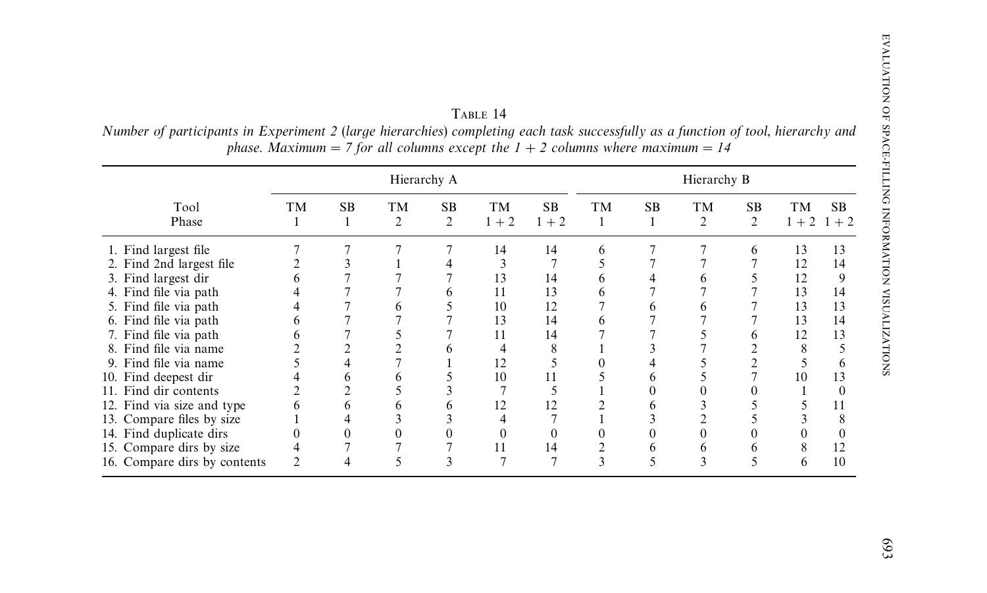TABLE 14 Number of participants in Experiment 2 (large hierarchies) completing each task successfully as a function of tool, hierarchy and *phase. Maximum* = 7 *for all columns except the*  $1 + 2$  *columns where maximum* = 14

|                                                                                                                                                                         | Hierarchy A |           |                      |                             |                            | Hierarchy B                |             |     |                      |                |                                  |                                 |
|-------------------------------------------------------------------------------------------------------------------------------------------------------------------------|-------------|-----------|----------------------|-----------------------------|----------------------------|----------------------------|-------------|-----|----------------------|----------------|----------------------------------|---------------------------------|
| Tool<br>Phase                                                                                                                                                           | TM          | <b>SB</b> | TM<br>$\overline{2}$ | <b>SB</b><br>$\overline{2}$ | <b>TM</b><br>$1 + 2$       | <b>SB</b><br>$1 + 2$       | TM<br>1     | SB. | TM<br>$\overline{c}$ | <b>SB</b><br>2 | TM                               | <b>SB</b><br>$1 + 2$ 1 + 2      |
| 1. Find largest file<br>2. Find 2nd largest file<br>3. Find largest dir<br>4. Find file via path<br>5. Find file via path<br>6. Find file via path                      |             |           | <sub>t</sub>         |                             | 14<br>13<br>11<br>10<br>13 | 14<br>14<br>13<br>12<br>14 | 6<br>h<br>n |     |                      | 6              | 13<br>12<br>12<br>13<br>13<br>13 | 13<br>14<br>9<br>14<br>13<br>14 |
| 7. Find file via path<br>8. Find file via name<br>9. Find file via name<br>10. Find deepest dir                                                                         | 6           |           | <sub>t</sub>         |                             | 11<br>12<br>10             | 14<br>8<br>11              |             |     |                      |                | 12<br>8<br>10                    | 13<br>6<br>13                   |
| 11. Find dir contents<br>12. Find via size and type<br>13. Compare files by size<br>14. Find duplicate dirs<br>15. Compare dirs by size<br>16. Compare dirs by contents |             | 0         | <sub>t</sub>         |                             | 12<br>11                   | 12<br>14                   | n,          |     | ∍                    |                | 8<br><sub>0</sub>                | $\Omega$<br>11<br>8<br>12<br>10 |